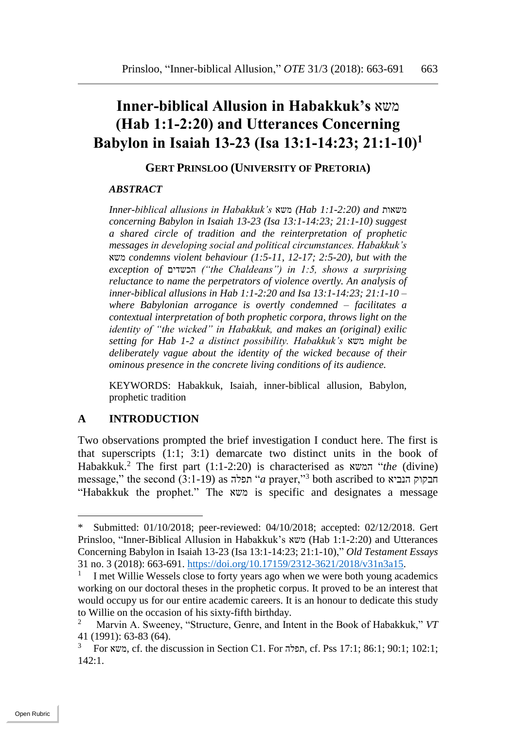# **Inner-biblical Allusion in Habakkuk's** משא **(Hab 1:1-2:20) and Utterances Concerning Babylon in Isaiah 13-23 (Isa 13:1-14:23; 21:1-10)<sup>1</sup>**

#### **GERT PRINSLOO (UNIVERSITY OF PRETORIA)**

#### *ABSTRACT*

*Inner-biblical allusions in Habakkuk's* משא*) Hab 1:1-2:20) and* משאות *concerning Babylon in Isaiah 13-23 (Isa 13:1-14:23; 21:1-10) suggest a shared circle of tradition and the reinterpretation of prophetic messages in developing social and political circumstances. Habakkuk's*  משא *condemns violent behaviour (1:5-11, 12-17; 2:5-20), but with the exception of* הכשדים*") the Chaldeans") in 1:5, shows a surprising reluctance to name the perpetrators of violence overtly. An analysis of inner-biblical allusions in Hab 1:1-2:20 and Isa 13:1-14:23; 21:1-10 – where Babylonian arrogance is overtly condemned – facilitates a contextual interpretation of both prophetic corpora, throws light on the identity of "the wicked" in Habakkuk, and makes an (original) exilic setting for Hab 1-2 a distinct possibility. Habakkuk's* משא *might be deliberately vague about the identity of the wicked because of their ominous presence in the concrete living conditions of its audience.*

KEYWORDS: Habakkuk, Isaiah, inner-biblical allusion, Babylon, prophetic tradition

### **A INTRODUCTION**

 $\overline{a}$ 

Two observations prompted the brief investigation I conduct here. The first is that superscripts (1:1; 3:1) demarcate two distinct units in the book of Habakkuk.<sup>2</sup> The first part (1:1-2:20) is characterised as המשא" *the* (divine) message," the second (3:1-19) as תפלה" *a* prayer,"<sup>3</sup> both ascribed to הנביא חבקוק "Habakkuk the prophet." The משא is specific and designates a message

Submitted: 01/10/2018; peer-reviewed: 04/10/2018; accepted: 02/12/2018. Gert Prinsloo, "Inner-Biblical Allusion in Habakkuk's משא) Hab 1:1-2:20) and Utterances Concerning Babylon in Isaiah 13-23 (Isa 13:1-14:23; 21:1-10)," *Old Testament Essays* 31 no. 3 (2018): 663-691. [https://doi.org/10.17159/2312-3621/2018/v31n3a15.](https://doi.org/10.17159/2312-3621/2018/v31n3a15)

<sup>1</sup> I met Willie Wessels close to forty years ago when we were both young academics working on our doctoral theses in the prophetic corpus. It proved to be an interest that would occupy us for our entire academic careers. It is an honour to dedicate this study to Willie on the occasion of his sixty-fifth birthday.

<sup>2</sup> Marvin A. Sweeney, "Structure, Genre, and Intent in the Book of Habakkuk," *VT* 41 (1991): 63-83 (64).

 $3$  For תפלה, cf. the discussion in Section C1. For תפלה, cf. Pss 17:1; 86:1; 90:1; 102:1; 142:1.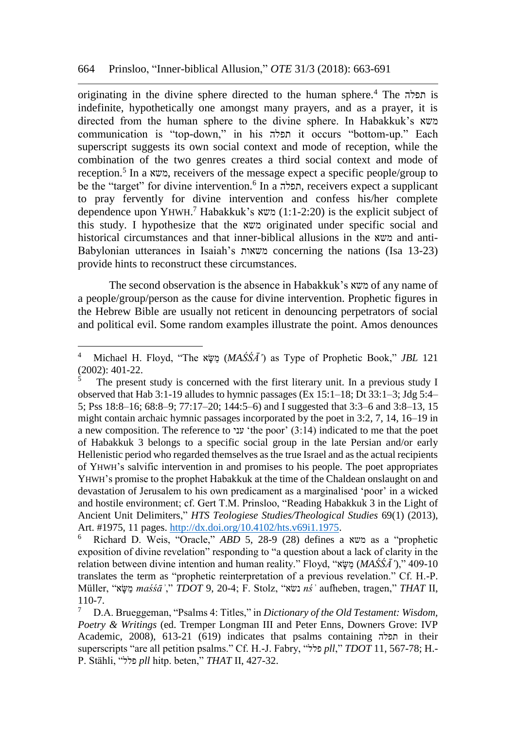originating in the divine sphere directed to the human sphere.<sup>4</sup> The תפלה is indefinite, hypothetically one amongst many prayers, and as a prayer, it is directed from the human sphere to the divine sphere. In Habakkuk's משא communication is "top-down," in his תפלה it occurs "bottom-up." Each superscript suggests its own social context and mode of reception, while the combination of the two genres creates a third social context and mode of reception.<sup>5</sup> In a משא, receivers of the message expect a specific people/group to be the "target" for divine intervention.<sup>6</sup> In a תפלה, receivers expect a supplicant to pray fervently for divine intervention and confess his/her complete dependence upon YHWH.<sup>7</sup> Habakkuk's משא) (1:1-2:20) is the explicit subject of this study. I hypothesize that the משא originated under specific social and historical circumstances and that inner-biblical allusions in the משא and anti-Babylonian utterances in Isaiah's משאות concerning the nations (Isa 13-23) provide hints to reconstruct these circumstances.

The second observation is the absence in Habakkuk's משא of any name of a people/group/person as the cause for divine intervention. Prophetic figures in the Hebrew Bible are usually not reticent in denouncing perpetrators of social and political evil. Some random examples illustrate the point. Amos denounces

<sup>4</sup> Michael H. Floyd, "The אָּׂשַמ) *MAŚŚĀ'*) as Type of Prophetic Book," *JBL* 121 (2002): 401-22.

The present study is concerned with the first literary unit. In a previous study I observed that Hab 3:1-19 alludes to hymnic passages (Ex 15:1–18; Dt 33:1–3; Jdg 5:4– 5; Pss 18:8–16; 68:8–9; 77:17–20; 144:5–6) and I suggested that 3:3–6 and 3:8–13, 15 might contain archaic hymnic passages incorporated by the poet in 3:2, 7, 14, 16–19 in a new composition. The reference to עני' the poor' (3:14) indicated to me that the poet of Habakkuk 3 belongs to a specific social group in the late Persian and/or early Hellenistic period who regarded themselves as the true Israel and as the actual recipients of YHWH's salvific intervention in and promises to his people. The poet appropriates YHWH's promise to the prophet Habakkuk at the time of the Chaldean onslaught on and devastation of Jerusalem to his own predicament as a marginalised 'poor' in a wicked and hostile environment; cf. Gert T.M. Prinsloo, "Reading Habakkuk 3 in the Light of Ancient Unit Delimiters," *HTS Teologiese Studies/Theological Studies* 69(1) (2013), Art. #1975, 11 pages. [http://dx.doi.org/10.4102/hts.v69i1.1975.](http://dx.doi.org/10.4102/hts.v69i1.1975)<br><sup>6</sup> Bichard D. Weis. "Oracle," *ARD* 5, 28-9 (28) defines a

<sup>6</sup> Richard D. Weis, "Oracle," *ABD* 5, 28-9 (28) defines a משא as a "prophetic exposition of divine revelation" responding to "a question about a lack of clarity in the relation between divine intention and human reality." Floyd, "אָּׂשַמ) *MAŚŚĀ'*)," 409-10 translates the term as "prophetic reinterpretation of a previous revelation." Cf. H.-P. Müller, "אָּׂשַמ *maśśāʾ*," *TDOT* 9, 20-4; F. Stolz, "שאׂנ *nśʾ* aufheben, tragen," *THAT* II, 110-7.

<sup>7</sup> D.A. Brueggeman, "Psalms 4: Titles," in *Dictionary of the Old Testament: Wisdom, Poetry & Writings* (ed. Tremper Longman III and Peter Enns, Downers Grove: IVP Academic, 2008), 613-21 (619) indicates that psalms containing תפלה in their superscripts "are all petition psalms." Cf. H.-J. Fabry, "פלל *pll*," *TDOT* 11, 567-78; H.- P. Stähli, "פלל *pll* hitp. beten," *THAT* II, 427-32.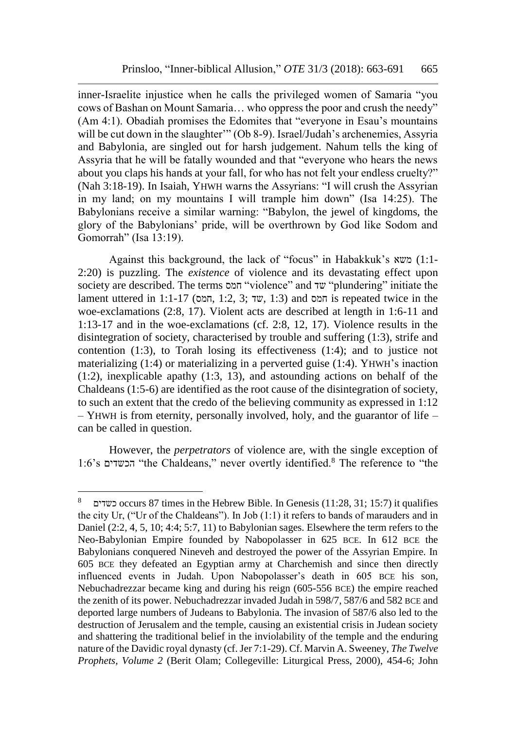inner-Israelite injustice when he calls the privileged women of Samaria "you cows of Bashan on Mount Samaria… who oppress the poor and crush the needy" (Am 4:1). Obadiah promises the Edomites that "everyone in Esau's mountains will be cut down in the slaughter'" (Ob 8-9). Israel/Judah's archenemies, Assyria and Babylonia, are singled out for harsh judgement. Nahum tells the king of Assyria that he will be fatally wounded and that "everyone who hears the news about you claps his hands at your fall, for who has not felt your endless cruelty?" (Nah 3:18-19). In Isaiah, YHWH warns the Assyrians: "I will crush the Assyrian in my land; on my mountains I will trample him down" (Isa 14:25). The Babylonians receive a similar warning: "Babylon, the jewel of kingdoms, the glory of the Babylonians' pride, will be overthrown by God like Sodom and Gomorrah" (Isa 13:19).

Against this background, the lack of "focus" in Habakkuk's משא) 1:1- 2:20) is puzzling. The *existence* of violence and its devastating effect upon society are described. The terms חמס" violence" and שד" plundering" initiate the lament uttered in 1:1-17 (חמס, 1:2, 3; שד, 1:3) and חמס is repeated twice in the woe-exclamations (2:8, 17). Violent acts are described at length in 1:6-11 and 1:13-17 and in the woe-exclamations (cf. 2:8, 12, 17). Violence results in the disintegration of society, characterised by trouble and suffering (1:3), strife and contention (1:3), to Torah losing its effectiveness (1:4); and to justice not materializing (1:4) or materializing in a perverted guise (1:4). YHWH's inaction (1:2), inexplicable apathy (1:3, 13), and astounding actions on behalf of the Chaldeans (1:5-6) are identified as the root cause of the disintegration of society, to such an extent that the credo of the believing community as expressed in 1:12 – YHWH is from eternity, personally involved, holy, and the guarantor of life – can be called in question.

However, the *perpetrators* of violence are, with the single exception of 1:6's הכשדים" the Chaldeans," never overtly identified.<sup>8</sup> The reference to "the

<sup>8</sup> כשדים occurs 87 times in the Hebrew Bible. In Genesis (11:28, 31; 15:7) it qualifies the city Ur, ("Ur of the Chaldeans"). In Job (1:1) it refers to bands of marauders and in Daniel (2:2, 4, 5, 10; 4:4; 5:7, 11) to Babylonian sages. Elsewhere the term refers to the Neo-Babylonian Empire founded by Nabopolasser in 625 BCE. In 612 BCE the Babylonians conquered Nineveh and destroyed the power of the Assyrian Empire. In 605 BCE they defeated an Egyptian army at Charchemish and since then directly influenced events in Judah. Upon Nabopolasser's death in 605 BCE his son, Nebuchadrezzar became king and during his reign (605-556 BCE) the empire reached the zenith of its power. Nebuchadrezzar invaded Judah in 598/7, 587/6 and 582 BCE and deported large numbers of Judeans to Babylonia. The invasion of 587/6 also led to the destruction of Jerusalem and the temple, causing an existential crisis in Judean society and shattering the traditional belief in the inviolability of the temple and the enduring nature of the Davidic royal dynasty (cf. Jer 7:1-29). Cf. Marvin A. Sweeney, *The Twelve Prophets, Volume 2* (Berit Olam; Collegeville: Liturgical Press, 2000), 454-6; John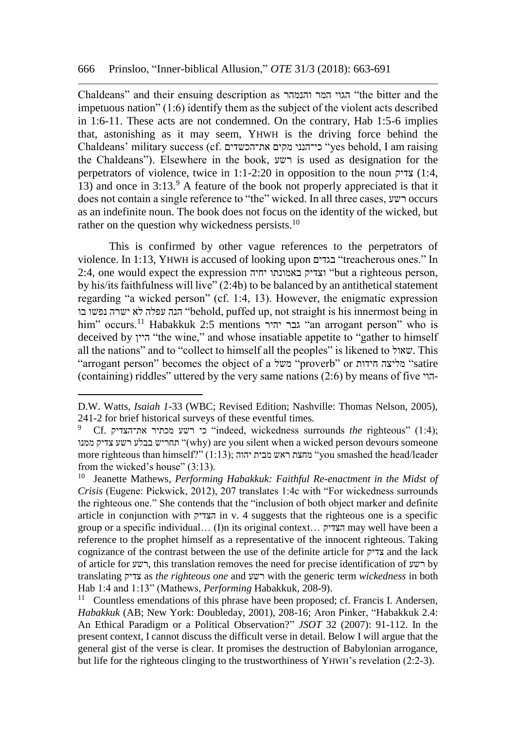Chaldeans" and their ensuing description as והנמהר המר הגוי" the bitter and the impetuous nation" (1:6) identify them as the subject of the violent acts described in 1:6-11. These acts are not condemned. On the contrary, Hab 1:5-6 implies that, astonishing as it may seem, YHWH is the driving force behind the Chaldeans' military success (cf. את־הכשדים מקים כי־הנני" yes behold, I am raising the Chaldeans"). Elsewhere in the book, רשע is used as designation for the perpetrators of violence, twice in 1:1-2:20 in opposition to the noun צדיק) 1:4, 13) and once in  $3:13<sup>9</sup>$  A feature of the book not properly appreciated is that it does not contain a single reference to "the" wicked. In all three cases, רשע occurs as an indefinite noun. The book does not focus on the identity of the wicked, but rather on the question why wickedness persists.<sup>10</sup>

This is confirmed by other vague references to the perpetrators of violence. In 1:13, YHWH is accused of looking upon בגדים" treacherous ones." In 2:4, one would expect the expression יחיה באמונתו וצדיק" but a righteous person, by his/its faithfulness will live" (2:4b) to be balanced by an antithetical statement regarding "a wicked person" (cf. 1:4, 13). However, the enigmatic expression בו נפשו ישרה לא עפלה הנה" behold, puffed up, not straight is his innermost being in him" occurs.<sup>11</sup> Habakkuk 2:5 mentions יהיר גבר" an arrogant person" who is deceived by היין" the wine," and whose insatiable appetite to "gather to himself all the nations" and to "collect to himself all the peoples" is likened to שאול. This "arrogant person" becomes the object of a משל" proverb" or חידות מליצה" satire (containing) riddles" uttered by the very same nations (2:6) by means of five הוי-

D.W. Watts, *Isaiah 1-*33 (WBC; Revised Edition; Nashville: Thomas Nelson, 2005), 241-2 for brief historical surveys of these eventful times.

<sup>9</sup> Cf. את־הצדיק מכתיר רשע כי" indeed, wickedness surrounds *the* righteous" (1:4); ממנו צדיק רשע בבלע תחריש)" why) are you silent when a wicked person devours someone more righteous than himself?" (1:13); יהוה מבית ראש מחצת" you smashed the head/leader from the wicked's house" (3:13).

<sup>10</sup> Jeanette Mathews, *Performing Habakkuk: Faithful Re-enactment in the Midst of Crisis* (Eugene: Pickwick, 2012), 207 translates 1:4c with "For wickedness surrounds the righteous one." She contends that the "inclusion of both object marker and definite article in conjunction with הצדיק in v. 4 suggests that the righteous one is a specific group or a specific individual… (I)n its original context… הצדיק may well have been a reference to the prophet himself as a representative of the innocent righteous. Taking cognizance of the contrast between the use of the definite article for צדיק and the lack of article for רשע, this translation removes the need for precise identification of רשע by translating צדיק as *the righteous one* and רשע with the generic term *wickedness* in both Hab 1:4 and 1:13" (Mathews, *Performing* Habakkuk, 208-9).

 $11$  Countless emendations of this phrase have been proposed; cf. Francis I. Andersen, *Habakkuk* (AB; New York: Doubleday, 2001), 208-16; Aron Pinker, "Habakkuk 2.4: An Ethical Paradigm or a Political Observation?" *JSOT* 32 (2007): 91-112. In the present context, I cannot discuss the difficult verse in detail. Below I will argue that the general gist of the verse is clear. It promises the destruction of Babylonian arrogance, but life for the righteous clinging to the trustworthiness of YHWH's revelation (2:2-3).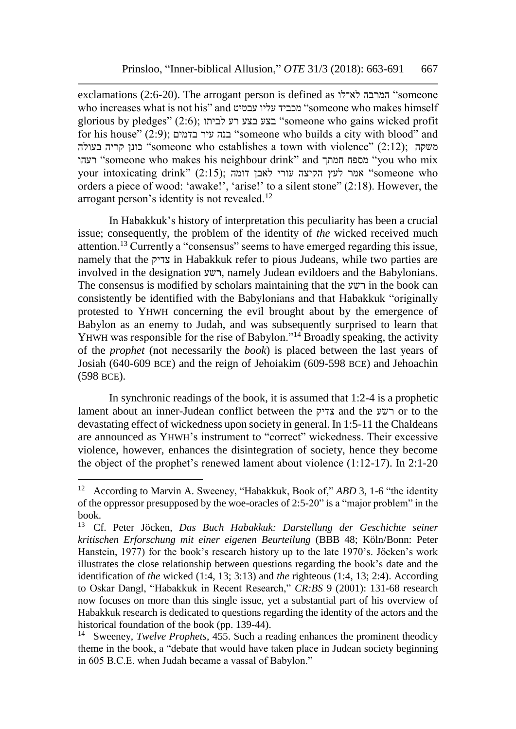exclamations (2:6-20). The arrogant person is defined as המרבה לא־לו someone who increases what is not his" and עביי עליו עבטיט "someone who makes himself glorious by pledges" (2:6); לביתו רע בצע בצע" someone who gains wicked profit for his house" (2:9); בדמים עיר בנה" someone who builds a city with blood" and בעולה (2:12) (someone who establishes a town with violence" (2:12); משקה רעהו" someone who makes his neighbour drink" and חמתך מספח" you who mix your intoxicating drink" (2:15); אמר לעץ הקיצה עורי לאבן דומה "someone who orders a piece of wood: 'awake!', 'arise!' to a silent stone" (2:18). However, the arrogant person's identity is not revealed.<sup>12</sup>

In Habakkuk's history of interpretation this peculiarity has been a crucial issue; consequently, the problem of the identity of *the* wicked received much attention.<sup>13</sup> Currently a "consensus" seems to have emerged regarding this issue, namely that the צדיק in Habakkuk refer to pious Judeans, while two parties are involved in the designation רשע, namely Judean evildoers and the Babylonians. The consensus is modified by scholars maintaining that the רשע in the book can consistently be identified with the Babylonians and that Habakkuk "originally protested to YHWH concerning the evil brought about by the emergence of Babylon as an enemy to Judah, and was subsequently surprised to learn that YHWH was responsible for the rise of Babylon."<sup>14</sup> Broadly speaking, the activity of the *prophet* (not necessarily the *book*) is placed between the last years of Josiah (640-609 BCE) and the reign of Jehoiakim (609-598 BCE) and Jehoachin (598 BCE).

In synchronic readings of the book, it is assumed that 1:2-4 is a prophetic lament about an inner-Judean conflict between the צדיק and the רשע or to the devastating effect of wickedness upon society in general. In 1:5-11 the Chaldeans are announced as YHWH's instrument to "correct" wickedness. Their excessive violence, however, enhances the disintegration of society, hence they become the object of the prophet's renewed lament about violence (1:12-17). In 2:1-20

<sup>12</sup> According to Marvin A. Sweeney, "Habakkuk, Book of," *ABD* 3, 1-6 "the identity of the oppressor presupposed by the woe-oracles of 2:5-20" is a "major problem" in the book.<br> $13 \quad C_1$ 

<sup>13</sup> Cf. Peter Jöcken, *Das Buch Habakkuk: Darstellung der Geschichte seiner kritischen Erforschung mit einer eigenen Beurteilung* (BBB 48; Köln/Bonn: Peter Hanstein, 1977) for the book's research history up to the late 1970's. Jöcken's work illustrates the close relationship between questions regarding the book's date and the identification of *the* wicked (1:4, 13; 3:13) and *the* righteous (1:4, 13; 2:4). According to Oskar Dangl, "Habakkuk in Recent Research," *CR:BS* 9 (2001): 131-68 research now focuses on more than this single issue, yet a substantial part of his overview of Habakkuk research is dedicated to questions regarding the identity of the actors and the historical foundation of the book (pp. 139-44).

<sup>14</sup> Sweeney, *Twelve Prophets*, 455. Such a reading enhances the prominent theodicy theme in the book, a "debate that would have taken place in Judean society beginning in 605 B.C.E. when Judah became a vassal of Babylon."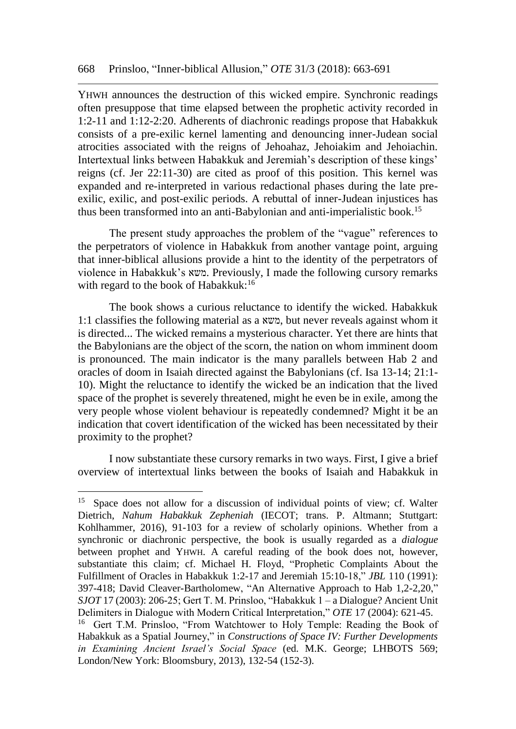YHWH announces the destruction of this wicked empire. Synchronic readings often presuppose that time elapsed between the prophetic activity recorded in 1:2-11 and 1:12-2:20. Adherents of diachronic readings propose that Habakkuk consists of a pre-exilic kernel lamenting and denouncing inner-Judean social atrocities associated with the reigns of Jehoahaz, Jehoiakim and Jehoiachin. Intertextual links between Habakkuk and Jeremiah's description of these kings' reigns (cf. Jer 22:11-30) are cited as proof of this position. This kernel was expanded and re-interpreted in various redactional phases during the late preexilic, exilic, and post-exilic periods. A rebuttal of inner-Judean injustices has thus been transformed into an anti-Babylonian and anti-imperialistic book.<sup>15</sup>

The present study approaches the problem of the "vague" references to the perpetrators of violence in Habakkuk from another vantage point, arguing that inner-biblical allusions provide a hint to the identity of the perpetrators of violence in Habakkuk's משא. Previously, I made the following cursory remarks with regard to the book of Habakkuk:<sup>16</sup>

The book shows a curious reluctance to identify the wicked. Habakkuk 1:1 classifies the following material as a משא, but never reveals against whom it is directed... The wicked remains a mysterious character. Yet there are hints that the Babylonians are the object of the scorn, the nation on whom imminent doom is pronounced. The main indicator is the many parallels between Hab 2 and oracles of doom in Isaiah directed against the Babylonians (cf. Isa 13-14; 21:1- 10). Might the reluctance to identify the wicked be an indication that the lived space of the prophet is severely threatened, might he even be in exile, among the very people whose violent behaviour is repeatedly condemned? Might it be an indication that covert identification of the wicked has been necessitated by their proximity to the prophet?

I now substantiate these cursory remarks in two ways. First, I give a brief overview of intertextual links between the books of Isaiah and Habakkuk in

<sup>&</sup>lt;sup>15</sup> Space does not allow for a discussion of individual points of view; cf. Walter Dietrich, *Nahum Habakkuk Zepheniah* (IECOT; trans. P. Altmann; Stuttgart: Kohlhammer, 2016), 91-103 for a review of scholarly opinions. Whether from a synchronic or diachronic perspective, the book is usually regarded as a *dialogue* between prophet and YHWH. A careful reading of the book does not, however, substantiate this claim; cf. Michael H. Floyd, "Prophetic Complaints About the Fulfillment of Oracles in Habakkuk 1:2-17 and Jeremiah 15:10-18," *JBL* 110 (1991): 397-418; David Cleaver-Bartholomew, "An Alternative Approach to Hab 1,2-2,20," *SJOT* 17 (2003): 206-25; Gert T. M. Prinsloo, "Habakkuk 1 – a Dialogue? Ancient Unit Delimiters in Dialogue with Modern Critical Interpretation," *OTE* 17 (2004): 621-45. <sup>16</sup> Gert T.M. Prinsloo, "From Watchtower to Holy Temple: Reading the Book of

Habakkuk as a Spatial Journey," in *Constructions of Space IV: Further Developments in Examining Ancient Israel's Social Space* (ed. M.K. George; LHBOTS 569; London/New York: Bloomsbury, 2013), 132-54 (152-3).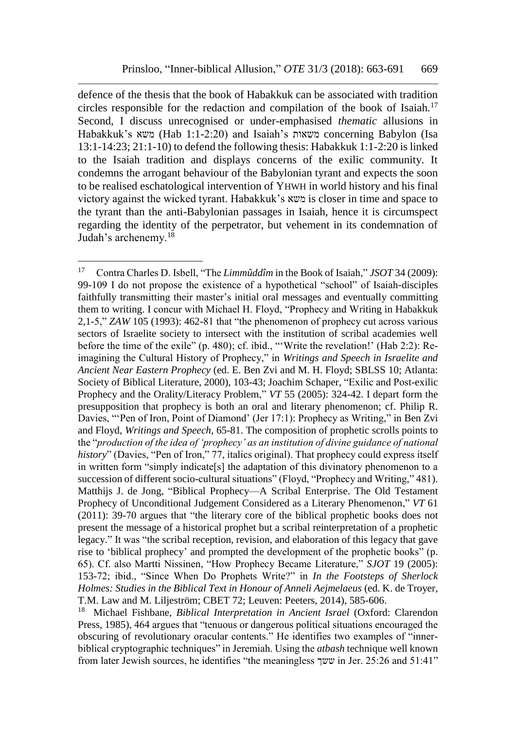defence of the thesis that the book of Habakkuk can be associated with tradition circles responsible for the redaction and compilation of the book of Isaiah.<sup>17</sup> Second, I discuss unrecognised or under-emphasised *thematic* allusions in Habakkuk's משאות (Hab 1:1-2:20) and Isaiah's משאות concerning Babylon (Isa 13:1-14:23; 21:1-10) to defend the following thesis: Habakkuk 1:1-2:20 is linked to the Isaiah tradition and displays concerns of the exilic community. It condemns the arrogant behaviour of the Babylonian tyrant and expects the soon to be realised eschatological intervention of YHWH in world history and his final victory against the wicked tyrant. Habakkuk's משא is closer in time and space to the tyrant than the anti-Babylonian passages in Isaiah, hence it is circumspect regarding the identity of the perpetrator, but vehement in its condemnation of Judah's archenemy.<sup>18</sup>

<sup>17</sup> Contra Charles D. Isbell, "The *Limmûddîm* in the Book of Isaiah," *JSOT* 34 (2009): 99-109 I do not propose the existence of a hypothetical "school" of Isaiah-disciples faithfully transmitting their master's initial oral messages and eventually committing them to writing. I concur with Michael H. Floyd, "Prophecy and Writing in Habakkuk 2,1-5," *ZAW* 105 (1993): 462-81 that "the phenomenon of prophecy cut across various sectors of Israelite society to intersect with the institution of scribal academies well before the time of the exile" (p. 480); cf. ibid., "'Write the revelation!' (Hab 2:2): Reimagining the Cultural History of Prophecy," in *Writings and Speech in Israelite and Ancient Near Eastern Prophecy* (ed. E. Ben Zvi and M. H. Floyd; SBLSS 10; Atlanta: Society of Biblical Literature, 2000), 103-43; Joachim Schaper, "Exilic and Post-exilic Prophecy and the Orality/Literacy Problem," *VT* 55 (2005): 324-42. I depart form the presupposition that prophecy is both an oral and literary phenomenon; cf. Philip R. Davies, "'Pen of Iron, Point of Diamond' (Jer 17:1): Prophecy as Writing," in Ben Zvi and Floyd, *Writings and Speech*, 65-81. The composition of prophetic scrolls points to the "*production of the idea of 'prophecy' as an institution of divine guidance of national history*" (Davies, "Pen of Iron," 77, italics original). That prophecy could express itself in written form "simply indicate[s] the adaptation of this divinatory phenomenon to a succession of different socio-cultural situations" (Floyd, "Prophecy and Writing," 481). Matthijs J. de Jong, "Biblical Prophecy—A Scribal Enterprise. The Old Testament Prophecy of Unconditional Judgement Considered as a Literary Phenomenon," *VT* 61 (2011): 39-70 argues that "the literary core of the biblical prophetic books does not present the message of a historical prophet but a scribal reinterpretation of a prophetic legacy." It was "the scribal reception, revision, and elaboration of this legacy that gave rise to 'biblical prophecy' and prompted the development of the prophetic books" (p. 65). Cf. also Martti Nissinen, "How Prophecy Became Literature," *SJOT* 19 (2005): 153-72; ibid., "Since When Do Prophets Write?" in *In the Footsteps of Sherlock Holmes: Studies in the Biblical Text in Honour of Anneli Aejmelaeus* (ed. K. de Troyer, T.M. Law and M. Liljeström; CBET 72; Leuven: Peeters, 2014), 585-606.

<sup>18</sup> Michael Fishbane, *Biblical Interpretation in Ancient Israel* (Oxford: Clarendon Press, 1985), 464 argues that "tenuous or dangerous political situations encouraged the obscuring of revolutionary oracular contents." He identifies two examples of "innerbiblical cryptographic techniques" in Jeremiah. Using the *atbash* technique well known from later Jewish sources, he identifies "the meaningless ששך in Jer. 25:26 and 51:41"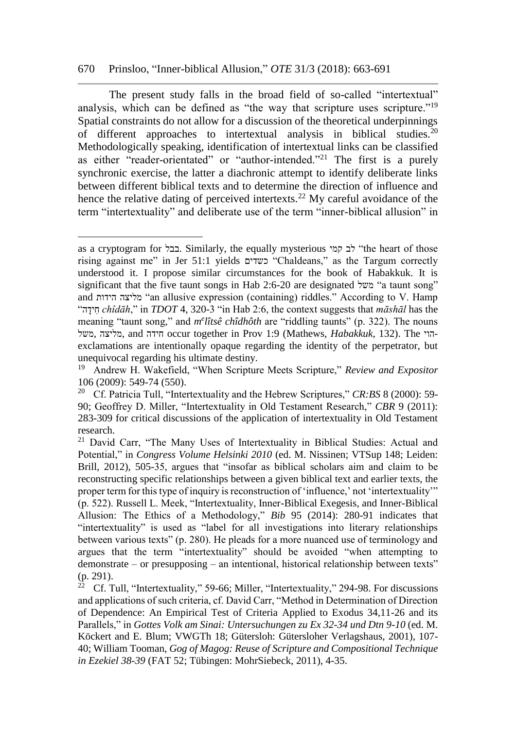#### 670 Prinsloo, "Inner-biblical Allusion," *OTE* 31/3 (2018): 663-691

 $\overline{a}$ 

The present study falls in the broad field of so-called "intertextual" analysis, which can be defined as "the way that scripture uses scripture."<sup>19</sup> Spatial constraints do not allow for a discussion of the theoretical underpinnings of different approaches to intertextual analysis in biblical studies.<sup>20</sup> Methodologically speaking, identification of intertextual links can be classified as either "reader-orientated" or "author-intended."<sup>21</sup> The first is a purely synchronic exercise, the latter a diachronic attempt to identify deliberate links between different biblical texts and to determine the direction of influence and hence the relative dating of perceived intertexts.<sup>22</sup> My careful avoidance of the term "intertextuality" and deliberate use of the term "inner-biblical allusion" in

as a cryptogram for בבל. Similarly, the equally mysterious הלב קמי (the heart of those rising against me" in Jer 51:1 yields כשדים" Chaldeans," as the Targum correctly understood it. I propose similar circumstances for the book of Habakkuk. It is significant that the five taunt songs in Hab 2:6-20 are designated "משל" a taunt song" and הידות מליצה" an allusive expression (containing) riddles." According to V. Hamp "הָּׂידִח *chîdāh*," in *TDOT* 4, 320-3 "in Hab 2:6, the context suggests that *māshāl* has the meaning "taunt song," and *m<sup>e</sup>lîtsê chîdhôth* are "riddling taunts" (p. 322). The nouns משל, מליצה, and חידה occur together in Prov 1:9 (Mathews, *Habakkuk*, 132). The הויexclamations are intentionally opaque regarding the identity of the perpetrator, but unequivocal regarding his ultimate destiny.

<sup>19</sup> Andrew H. Wakefield, "When Scripture Meets Scripture," *Review and Expositor* 106 (2009): 549-74 (550).

<sup>20</sup> Cf. Patricia Tull, "Intertextuality and the Hebrew Scriptures," *CR:BS* 8 (2000): 59- 90; Geoffrey D. Miller, "Intertextuality in Old Testament Research," *CBR* 9 (2011): 283-309 for critical discussions of the application of intertextuality in Old Testament research.

<sup>&</sup>lt;sup>21</sup> David Carr, "The Many Uses of Intertextuality in Biblical Studies: Actual and Potential," in *Congress Volume Helsinki 2010* (ed. M. Nissinen; VTSup 148; Leiden: Brill, 2012), 505-35, argues that "insofar as biblical scholars aim and claim to be reconstructing specific relationships between a given biblical text and earlier texts, the proper term for this type of inquiry is reconstruction of 'influence,' not 'intertextuality'" (p. 522). Russell L. Meek, "Intertextuality, Inner-Biblical Exegesis, and Inner-Biblical Allusion: The Ethics of a Methodology," *Bib* 95 (2014): 280-91 indicates that "intertextuality" is used as "label for all investigations into literary relationships between various texts" (p. 280). He pleads for a more nuanced use of terminology and argues that the term "intertextuality" should be avoided "when attempting to demonstrate – or presupposing – an intentional, historical relationship between texts" (p. 291).

<sup>&</sup>lt;sup>22</sup> Cf. Tull, "Intertextuality," 59-66; Miller, "Intertextuality," 294-98. For discussions and applications of such criteria, cf. David Carr, "Method in Determination of Direction of Dependence: An Empirical Test of Criteria Applied to Exodus 34,11-26 and its Parallels," in *Gottes Volk am Sinai: Untersuchungen zu Ex 32-34 und Dtn 9-10* (ed. M. Köckert and E. Blum; VWGTh 18; Gütersloh: Gütersloher Verlagshaus, 2001), 107- 40; William Tooman, *Gog of Magog: Reuse of Scripture and Compositional Technique in Ezekiel 38-39* (FAT 52; Tübingen: MohrSiebeck, 2011), 4-35.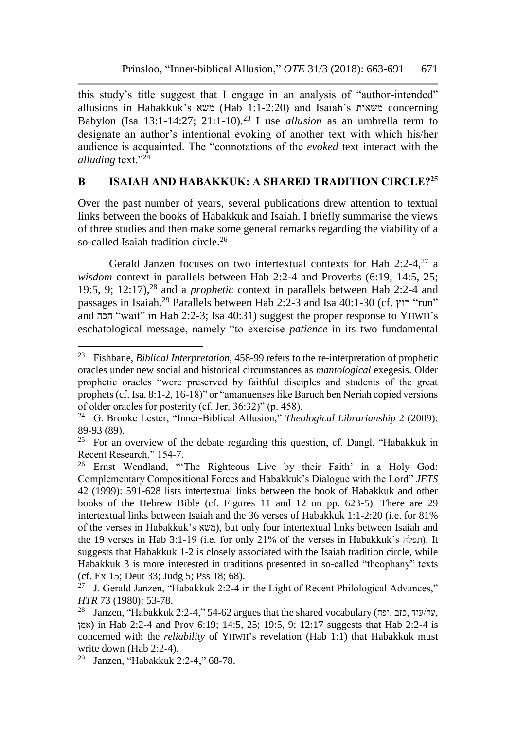this study's title suggest that I engage in an analysis of "author-intended" allusions in Habakkuk's משאות (Hab 1:1-2:20) and Isaiah's משאות concerning Babylon (Isa 13:1-14:27; 21:1-10).<sup>23</sup> I use *allusion* as an umbrella term to designate an author's intentional evoking of another text with which his/her audience is acquainted. The "connotations of the *evoked* text interact with the *alluding* text."<sup>24</sup>

# **B ISAIAH AND HABAKKUK: A SHARED TRADITION CIRCLE?<sup>25</sup>**

Over the past number of years, several publications drew attention to textual links between the books of Habakkuk and Isaiah. I briefly summarise the views of three studies and then make some general remarks regarding the viability of a so-called Isaiah tradition circle.<sup>26</sup>

Gerald Janzen focuses on two intertextual contexts for Hab  $2:2-4$ ,  $27$  a *wisdom* context in parallels between Hab 2:2-4 and Proverbs (6:19; 14:5, 25; 19:5, 9; 12:17),<sup>28</sup> and a *prophetic* context in parallels between Hab 2:2-4 and passages in Isaiah.<sup>29</sup> Parallels between Hab 2:2-3 and Isa 40:1-30 (cf. רוץ" run" and חכה" wait" in Hab 2:2-3; Isa 40:31) suggest the proper response to YHWH's eschatological message, namely "to exercise *patience* in its two fundamental

<sup>23</sup> Fishbane, *Biblical Interpretation*, 458-99 refers to the re-interpretation of prophetic oracles under new social and historical circumstances as *mantological* exegesis. Older prophetic oracles "were preserved by faithful disciples and students of the great prophets (cf. Isa. 8:1-2, 16-18)" or "amanuenses like Baruch ben Neriah copied versions of older oracles for posterity (cf. Jer. 36:32)" (p. 458).

<sup>24</sup> G. Brooke Lester, "Inner-Biblical Allusion," *Theological Librarianship* 2 (2009): 89-93 (89).

<sup>&</sup>lt;sup>25</sup> For an overview of the debate regarding this question, cf. Dangl, "Habakkuk in Recent Research," 154-7.

<sup>&</sup>lt;sup>26</sup> Ernst Wendland, "The Righteous Live by their Faith' in a Holy God: Complementary Compositional Forces and Habakkuk's Dialogue with the Lord" *JETS* 42 (1999): 591-628 lists intertextual links between the book of Habakkuk and other books of the Hebrew Bible (cf. Figures 11 and 12 on pp. 623-5). There are 29 intertextual links between Isaiah and the 36 verses of Habakkuk 1:1-2:20 (i.e. for 81% of the verses in Habakkuk's משא(, but only four intertextual links between Isaiah and the 19 verses in Hab 3:1-19 (i.e. for only 21% of the verses in Habakkuk's חִפלה). It suggests that Habakkuk 1-2 is closely associated with the Isaiah tradition circle, while Habakkuk 3 is more interested in traditions presented in so-called "theophany" texts (cf. Ex 15; Deut 33; Judg 5; Pss 18; 68).

 $27$  J. Gerald Janzen, "Habakkuk 2:2-4 in the Light of Recent Philological Advances," *HTR* 73 (1980): 53-78.

<sup>&</sup>lt;sup>28</sup> Janzen, "Habakkuk 2:2-4," 54-62 argues that the shared vocabulary (עד/עוד, אמן (אמן in Hab 2:2-4 and Prov 6:19; 14:5, 25; 19:5, 9; 12:17 suggests that Hab 2:2-4 is concerned with the *reliability* of YHWH's revelation (Hab 1:1) that Habakkuk must write down (Hab 2:2-4).

<sup>29</sup> Janzen, "Habakkuk 2:2-4," 68-78.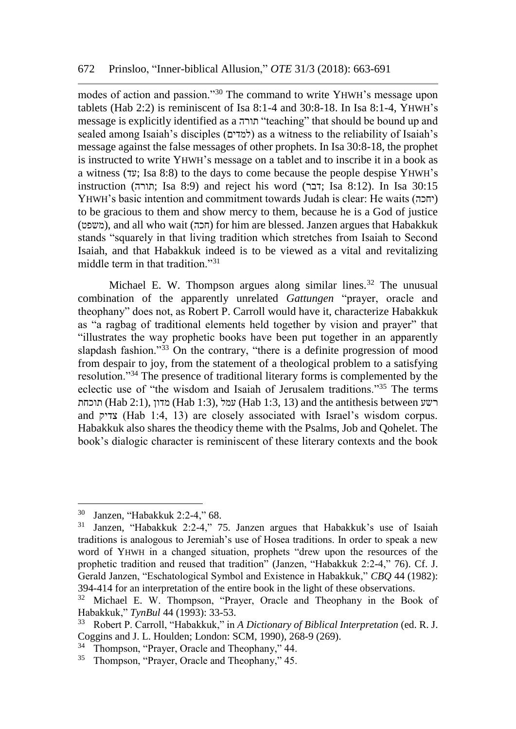modes of action and passion."<sup>30</sup> The command to write YHWH's message upon tablets (Hab 2:2) is reminiscent of Isa 8:1-4 and 30:8-18. In Isa 8:1-4, YHWH's message is explicitly identified as a תורה" teaching" that should be bound up and sealed among Isaiah's disciples (למדים) as a witness to the reliability of Isaiah's message against the false messages of other prophets. In Isa 30:8-18, the prophet is instructed to write YHWH's message on a tablet and to inscribe it in a book as a witness (עד; Isa 8:8) to the days to come because the people despise YHWH's instruction (תורה ;Isa 8:9) and reject his word (דבר ;Isa 8:12). In Isa 30:15 YHWH's basic intention and commitment towards Judah is clear: He waits (יחכה ( to be gracious to them and show mercy to them, because he is a God of justice (משפט), and all who wait (חכה) for him are blessed. Janzen argues that Habakkuk stands "squarely in that living tradition which stretches from Isaiah to Second Isaiah, and that Habakkuk indeed is to be viewed as a vital and revitalizing middle term in that tradition."<sup>31</sup>

Michael E. W. Thompson argues along similar lines.<sup>32</sup> The unusual combination of the apparently unrelated *Gattungen* "prayer, oracle and theophany" does not, as Robert P. Carroll would have it, characterize Habakkuk as "a ragbag of traditional elements held together by vision and prayer" that "illustrates the way prophetic books have been put together in an apparently slapdash fashion."<sup>33</sup> On the contrary, "there is a definite progression of mood from despair to joy, from the statement of a theological problem to a satisfying resolution."<sup>34</sup> The presence of traditional literary forms is complemented by the eclectic use of "the wisdom and Isaiah of Jerusalem traditions." <sup>35</sup> The terms תוכחת (Hab 2:1), מדון) (Hab 1:3), עמל) Hab 1:3, 13) and the antithesis between רשע and צדיק) Hab 1:4, 13) are closely associated with Israel's wisdom corpus. Habakkuk also shares the theodicy theme with the Psalms, Job and Qohelet. The book's dialogic character is reminiscent of these literary contexts and the book

<sup>30</sup> Janzen, "Habakkuk 2:2-4," 68.

<sup>31</sup> Janzen, "Habakkuk 2:2-4," 75. Janzen argues that Habakkuk's use of Isaiah traditions is analogous to Jeremiah's use of Hosea traditions. In order to speak a new word of YHWH in a changed situation, prophets "drew upon the resources of the prophetic tradition and reused that tradition" (Janzen, "Habakkuk 2:2-4," 76). Cf. J. Gerald Janzen, "Eschatological Symbol and Existence in Habakkuk," *CBQ* 44 (1982): 394-414 for an interpretation of the entire book in the light of these observations.

<sup>32</sup> Michael E. W. Thompson, "Prayer, Oracle and Theophany in the Book of Habakkuk," *TynBul* 44 (1993): 33-53.

<sup>33</sup> Robert P. Carroll, "Habakkuk," in *A Dictionary of Biblical Interpretation* (ed. R. J. Coggins and J. L. Houlden; London: SCM, 1990), 268-9 (269).

<sup>34</sup> Thompson, "Prayer, Oracle and Theophany," 44.

<sup>35</sup> Thompson, "Prayer, Oracle and Theophany," 45.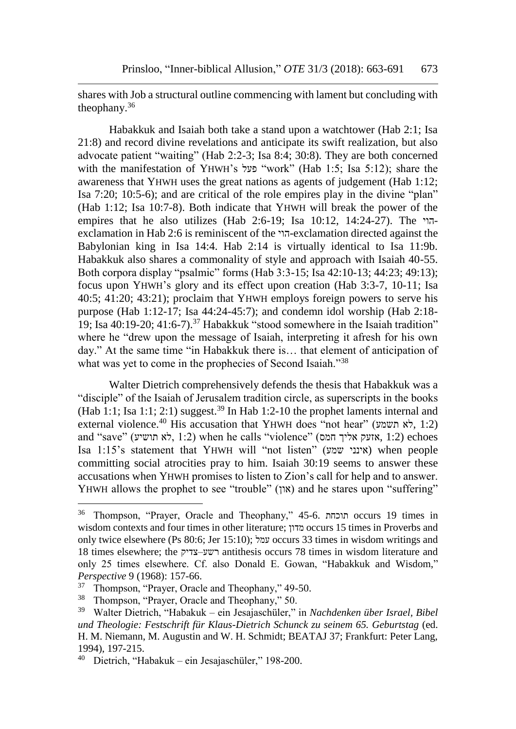shares with Job a structural outline commencing with lament but concluding with theophany.<sup>36</sup>

Habakkuk and Isaiah both take a stand upon a watchtower (Hab 2:1; Isa 21:8) and record divine revelations and anticipate its swift realization, but also advocate patient "waiting" (Hab 2:2-3; Isa 8:4; 30:8). They are both concerned with the manifestation of YHWH's פעל" work" (Hab 1:5; Isa 5:12); share the awareness that YHWH uses the great nations as agents of judgement (Hab 1:12; Isa 7:20; 10:5-6); and are critical of the role empires play in the divine "plan" (Hab 1:12; Isa 10:7-8). Both indicate that YHWH will break the power of the empires that he also utilizes (Hab 2:6-19; Isa 10:12, 14:24-27). The הויexclamation in Hab 2:6 is reminiscent of the הוי-exclamation directed against the Babylonian king in Isa 14:4. Hab 2:14 is virtually identical to Isa 11:9b. Habakkuk also shares a commonality of style and approach with Isaiah 40-55. Both corpora display "psalmic" forms (Hab 3:3-15; Isa 42:10-13; 44:23; 49:13); focus upon YHWH's glory and its effect upon creation (Hab 3:3-7, 10-11; Isa 40:5; 41:20; 43:21); proclaim that YHWH employs foreign powers to serve his purpose (Hab 1:12-17; Isa 44:24-45:7); and condemn idol worship (Hab 2:18- 19; Isa  $40:19-20$ ;  $41:6-7$ ).<sup>37</sup> Habakkuk "stood somewhere in the Isaiah tradition" where he "drew upon the message of Isaiah, interpreting it afresh for his own day." At the same time "in Habakkuk there is… that element of anticipation of what was yet to come in the prophecies of Second Isaiah."<sup>38</sup>

Walter Dietrich comprehensively defends the thesis that Habakkuk was a "disciple" of the Isaiah of Jerusalem tradition circle, as superscripts in the books (Hab 1:1; Isa 1:1; 2:1) suggest.<sup>39</sup> In Hab 1:2-10 the prophet laments internal and external violence.<sup>40</sup> His accusation that YHWH does "not hear" (את השמע), 1:2) and "save" (אזעק אליך (1:2 khen he calls "violence" (אזעק אליך אזעק אליך אזעק $(1:2)$ echoes Isa 1:15's statement that YHWH will "not listen" (שמע אינני (when people committing social atrocities pray to him. Isaiah 30:19 seems to answer these accusations when YHWH promises to listen to Zion's call for help and to answer. YHWH allows the prophet to see "trouble" (און) and he stares upon "suffering"

<sup>36</sup> Thompson, "Prayer, Oracle and Theophany," 45-6. תוכחת occurs 19 times in wisdom contexts and four times in other literature; מדון occurs 15 times in Proverbs and only twice elsewhere (Ps 80:6; Jer 15:10); עמל occurs 33 times in wisdom writings and 18 times elsewhere; the צדיק–רשע antithesis occurs 78 times in wisdom literature and only 25 times elsewhere. Cf. also Donald E. Gowan, "Habakkuk and Wisdom," *Perspective* 9 (1968): 157-66.

<sup>&</sup>lt;sup>37</sup> Thompson, "Prayer, Oracle and Theophany," 49-50.

<sup>38</sup> Thompson, "Prayer, Oracle and Theophany," 50.

<sup>39</sup> Walter Dietrich, "Habakuk – ein Jesajaschüler," in *Nachdenken über Israel, Bibel und Theologie: Festschrift für Klaus-Dietrich Schunck zu seinem 65. Geburtstag* (ed. H. M. Niemann, M. Augustin and W. H. Schmidt; BEATAJ 37; Frankfurt: Peter Lang, 1994), 197-215.

<sup>40</sup> Dietrich, "Habakuk – ein Jesajaschüler," 198-200.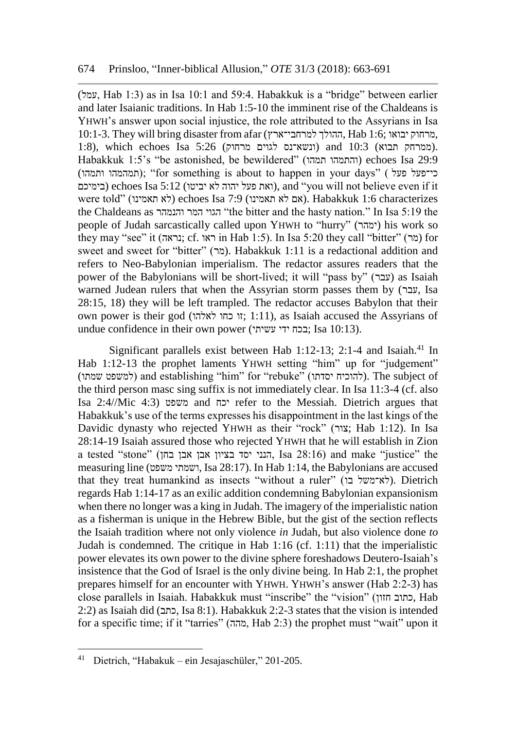(עמל, Hab 1:3) as in Isa 10:1 and 59:4. Habakkuk is a "bridge" between earlier and later Isaianic traditions. In Hab 1:5-10 the imminent rise of the Chaldeans is YHWH's answer upon social injustice, the role attributed to the Assyrians in Isa 10:1-3. They will bring disaster from afar (למרחבי־ארץ ההולך, Hab 1:6; יבואו מרחוק, 1:8), which echoes Isa  $5:26$  (ונשא־נס לגוים מרחוק) 3:18 (ונשא־נס לגוים). Habakkuk 1:5's "be astonished, be bewildered" (תמהו והתמהו (echoes Isa 29:9 (תמהמהו ותמהו); "for something is about to happen in your days" ( פעל פעל) בימיכם) echoes Isa 5:12 (ואת פעל יהוה לא יביטו), and "you will not believe even if it were told" (לא תאמינו) echoes Isa 7:9 (אם לא תאמינו). Habakkuk 1:6 characterizes the Chaldeans as והנמהר המר הגוי" the bitter and the hasty nation." In Isa 5:19 the people of Judah sarcastically called upon YHWH to "hurry" (ימהר (his work so they may "see" it (נראה; cf. ווראו in Hab 1:5). In Isa 5:20 they call "bitter" (מר) for sweet and sweet for "bitter" (מר). Habakkuk 1:11 is a redactional addition and refers to Neo-Babylonian imperialism. The redactor assures readers that the power of the Babylonians will be short-lived; it will "pass by" (עבר) as Isaiah warned Judean rulers that when the Assyrian storm passes them by (עבר, Isa 28:15, 18) they will be left trampled. The redactor accuses Babylon that their own power is their god (זו כחו לאלהו; 1:11), as Isaiah accused the Assyrians of undue confidence in their own power (עשיתי ידי בכח ;Isa 10:13).

Significant parallels exist between Hab  $1:12-13$ ; 2:1-4 and Isaiah.<sup>41</sup> In Hab 1:12-13 the prophet laments YHWH setting "him" up for "judgement" (למשפט שמתו) and establishing "him" for "rebuke" (להוכיח יסדתו). The subject of the third person masc sing suffix is not immediately clear. In Isa 11:3-4 (cf. also Isa 2:4//Mic 4:3) משפט and יכח refer to the Messiah. Dietrich argues that Habakkuk's use of the terms expresses his disappointment in the last kings of the Davidic dynasty who rejected YHWH as their "rock" (צור; Hab 1:12). In Isa 28:14-19 Isaiah assured those who rejected YHWH that he will establish in Zion a tested "stone" (בחן אבן אבן בציון יסד הנני, Isa 28:16) and make "justice" the measuring line (משפט ושמתי, Isa 28:17). In Hab 1:14, the Babylonians are accused that they treat humankind as insects "without a ruler" (לא־משל בו). Dietrich regards Hab 1:14-17 as an exilic addition condemning Babylonian expansionism when there no longer was a king in Judah. The imagery of the imperialistic nation as a fisherman is unique in the Hebrew Bible, but the gist of the section reflects the Isaiah tradition where not only violence *in* Judah, but also violence done *to* Judah is condemned. The critique in Hab 1:16 (cf. 1:11) that the imperialistic power elevates its own power to the divine sphere foreshadows Deutero-Isaiah's insistence that the God of Israel is the only divine being. In Hab 2:1, the prophet prepares himself for an encounter with YHWH. YHWH's answer (Hab 2:2-3) has close parallels in Isaiah. Habakkuk must "inscribe" the "vision" (חזון כתוב, Hab 2:2) as Isaiah did (כתב, Isa 8:1). Habakkuk 2:2-3 states that the vision is intended for a specific time; if it "tarries" (מהה, Hab 2:3) the prophet must "wait" upon it

<sup>41</sup> Dietrich, "Habakuk – ein Jesajaschüler," 201-205.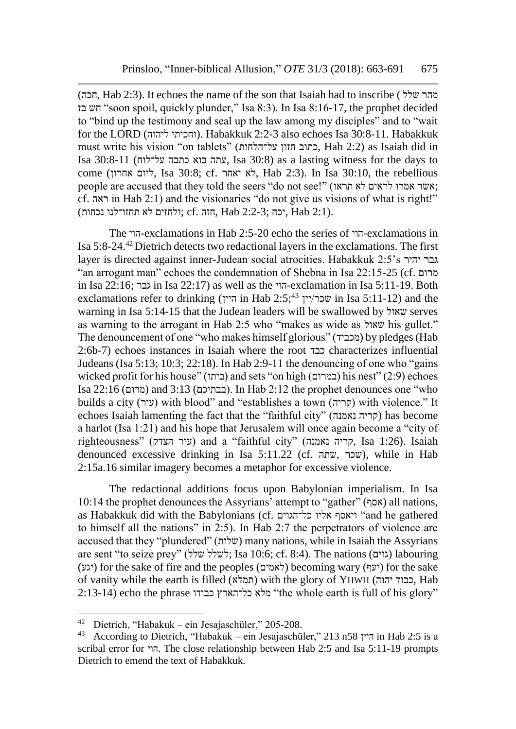(חכה, Hab 2:3). It echoes the name of the son that Isaiah had to inscribe ( שלל מהר בז חש" soon spoil, quickly plunder," Isa 8:3). In Isa 8:16-17, the prophet decided to "bind up the testimony and seal up the law among my disciples" and to "wait for the LORD (וחכיתי ליהוה). Habakkuk 2:2-3 also echoes Isa 30:8-11. Habakkuk must write his vision "on tablets" (על־הלחות חזון כתוב, Hab 2:2) as Isaiah did in Isa 30:8-11 (על־לוח כתבה בוא עתה, Isa 30:8) as a lasting witness for the days to come (אחרון ליום, Isa 30:8; cf. יאחר לא, Hab 2:3). In Isa 30:10, the rebellious people are accused that they told the seers "do not see!" (תראו לא לראים אמרו אשר ; cf. ראה in Hab 2:1) and the visionaries "do not give us visions of what is right!" .(2:1 Hab ,יכח ;2:2-3 Hab ,חזה .cf; ולחזים לא תחזו־לנו נכחות)

The הוי-exclamations in Hab 2:5-20 echo the series of הוי-exclamations in Isa 5:8-24.<sup>42</sup>Dietrich detects two redactional layers in the exclamations. The first layer is directed against inner-Judean social atrocities. Habakkuk 2:5's יהיר גבר "an arrogant man" echoes the condemnation of Shebna in Isa 22:15-25 (cf. מרום in Isa 22:16; גבר in Isa 22:17) as well as the הוי-exclamation in Isa 5:11-19. Both exclamations refer to drinking (היין in Hab 2:5;<sup>43</sup> יין/שכר in Isa 5:11-12) and the warning in Isa 5:14-15 that the Judean leaders will be swallowed by שאול serves as warning to the arrogant in Hab 2:5 who "makes as wide as שאול his gullet." The denouncement of one "who makes himself glorious" (מכביד (by pledges (Hab 2:6b-7) echoes instances in Isaiah where the root כבד characterizes influential Judeans (Isa 5:13; 10:3; 22:18). In Hab 2:9-11 the denouncing of one who "gains wicked profit for his house" (במרום) and sets "on high (במרום) his nest" (2:9) echoes Isa 22:16 (מרום (and 3:13 (בבתיכם(. In Hab 2:12 the prophet denounces one "who builds a city (עיר) with blood" and "establishes a town (קריה) with violence." It echoes Isaiah lamenting the fact that the "faithful city" (נאמנה קריה (has become a harlot (Isa 1:21) and his hope that Jerusalem will once again become a "city of righteousness" (עיר הצדק) and a "faithful city" (קריה נאמנה), Isa 1:26). Isaiah denounced excessive drinking in Isa 5:11.22 (cf. שתה, שכר(, while in Hab 2:15a.16 similar imagery becomes a metaphor for excessive violence.

The redactional additions focus upon Babylonian imperialism. In Isa 10:14 the prophet denounces the Assyrians' attempt to "gather" (אסף) all nations, as Habakkuk did with the Babylonians (cf. כל־הגוים אליו ויאסף" and he gathered to himself all the nations" in 2:5). In Hab 2:7 the perpetrators of violence are accused that they "plundered" (שלות) many nations, while in Isaiah the Assyrians are sent "to seize prey" (לשלל שלל); Isa 10:6; cf. 8:4). The nations (גוים) labouring (יגע) for the sake of fire and the peoples (לאמים) becoming wary (יעף) for the sake of vanity while the earth is filled (תמלא (with the glory of YHWH (יהוה כבוד, Hab 2:13-14) echo the phrase מלא כל־הארץ כבודו "the whole earth is full of his glory"

<sup>42</sup> Dietrich, "Habakuk – ein Jesajaschüler," 205-208.

<sup>43</sup> According to Dietrich, "Habakuk – ein Jesajaschüler," 213 n58 היין in Hab 2:5 is a scribal error for הוי. The close relationship between Hab 2:5 and Isa 5:11-19 prompts Dietrich to emend the text of Habakkuk.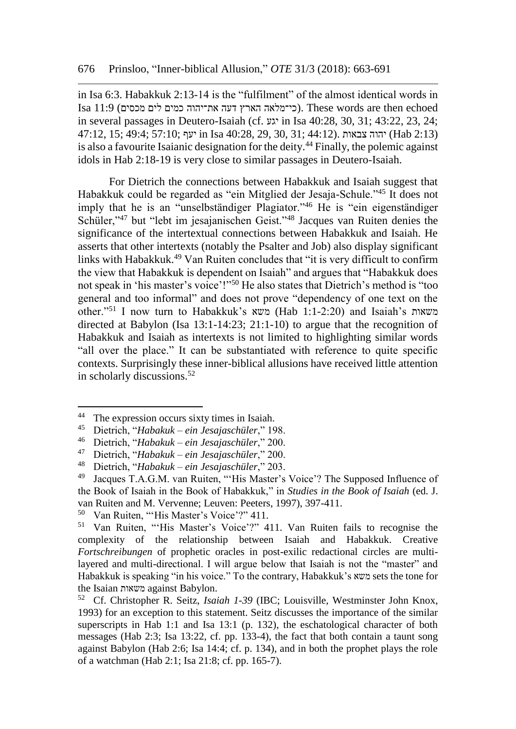in Isa 6:3. Habakkuk 2:13-14 is the "fulfilment" of the almost identical words in Isa 11:9 (כי־מלאה הארץ דעה את־יהוה כמים לים מכסים). These words are then echoed in several passages in Deutero-Isaiah (cf. יגע in Isa 40:28, 30, 31; 43:22, 23, 24; (2:13 Hab (יהוה צבאות .(44:12 ;31 30, 29, 40:28, Isa in יעף ;57:10 ;49:4 ;15 47:12, is also a favourite Isaianic designation for the deity.<sup>44</sup> Finally, the polemic against idols in Hab 2:18-19 is very close to similar passages in Deutero-Isaiah.

For Dietrich the connections between Habakkuk and Isaiah suggest that Habakkuk could be regarded as "ein Mitglied der Jesaja-Schule."<sup>45</sup> It does not imply that he is an "unselbständiger Plagiator."<sup>46</sup> He is "ein eigenständiger Schüler,"<sup>47</sup> but "lebt im jesajanischen Geist."<sup>48</sup> Jacques van Ruiten denies the significance of the intertextual connections between Habakkuk and Isaiah. He asserts that other intertexts (notably the Psalter and Job) also display significant links with Habakkuk.<sup>49</sup> Van Ruiten concludes that "it is very difficult to confirm the view that Habakkuk is dependent on Isaiah" and argues that "Habakkuk does not speak in 'his master's voice'!"<sup>50</sup> He also states that Dietrich's method is "too general and too informal" and does not prove "dependency of one text on the other."<sup>51</sup> I now turn to Habakkuk's משאות (Hab 1:1-2:20) and Isaiah's משאות directed at Babylon (Isa 13:1-14:23; 21:1-10) to argue that the recognition of Habakkuk and Isaiah as intertexts is not limited to highlighting similar words "all over the place." It can be substantiated with reference to quite specific contexts. Surprisingly these inner-biblical allusions have received little attention in scholarly discussions.<sup>52</sup>

<sup>&</sup>lt;sup>44</sup> The expression occurs sixty times in Isaiah.<br><sup>45</sup> Dietrich "Habakuk – ein Iesaiaschüler" 19

<sup>45</sup> Dietrich, "*Habakuk – ein Jesajaschüler*," 198.

<sup>46</sup> Dietrich, "*Habakuk – ein Jesajaschüler*," 200.

<sup>47</sup> Dietrich, "*Habakuk – ein Jesajaschüler*," 200.

<sup>48</sup> Dietrich, "*Habakuk – ein Jesajaschüler*," 203.

<sup>49</sup> Jacques T.A.G.M. van Ruiten, "'His Master's Voice'? The Supposed Influence of the Book of Isaiah in the Book of Habakkuk," in *Studies in the Book of Isaiah* (ed. J. van Ruiten and M. Vervenne; Leuven: Peeters, 1997), 397-411.

<sup>50</sup> Van Ruiten, "'His Master's Voice'?" 411.

<sup>51</sup> Van Ruiten, "'His Master's Voice'?" 411. Van Ruiten fails to recognise the complexity of the relationship between Isaiah and Habakkuk. Creative *Fortschreibungen* of prophetic oracles in post-exilic redactional circles are multilayered and multi-directional. I will argue below that Isaiah is not the "master" and Habakkuk is speaking "in his voice." To the contrary, Habakkuk's משא sets the tone for the Isaian משאות against Babylon.

<sup>52</sup> Cf. Christopher R. Seitz, *Isaiah 1-39* (IBC; Louisville, Westminster John Knox, 1993) for an exception to this statement. Seitz discusses the importance of the similar superscripts in Hab 1:1 and Isa 13:1 (p. 132), the eschatological character of both messages (Hab 2:3; Isa 13:22, cf. pp. 133-4), the fact that both contain a taunt song against Babylon (Hab 2:6; Isa 14:4; cf. p. 134), and in both the prophet plays the role of a watchman (Hab 2:1; Isa 21:8; cf. pp. 165-7).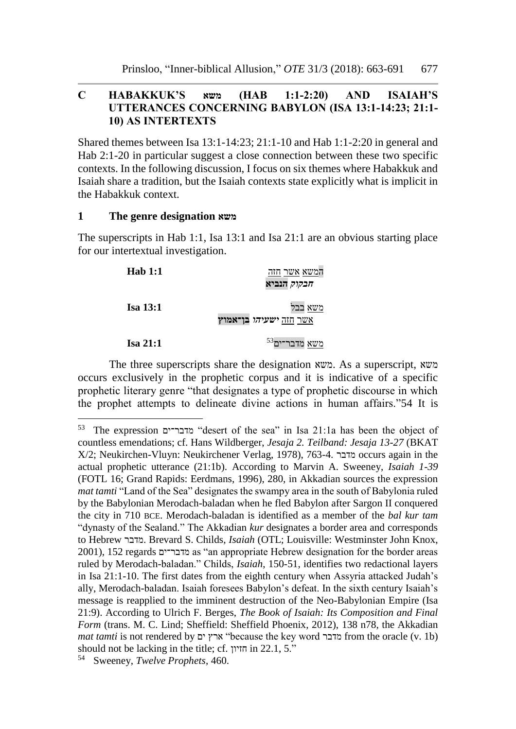# **C HABAKKUK'S משא) HAB 1:1-2:20) AND ISAIAH'S UTTERANCES CONCERNING BABYLON (ISA 13:1-14:23; 21:1- 10) AS INTERTEXTS**

Shared themes between Isa 13:1-14:23; 21:1-10 and Hab 1:1-2:20 in general and Hab 2:1-20 in particular suggest a close connection between these two specific contexts. In the following discussion, I focus on six themes where Habakkuk and Isaiah share a tradition, but the Isaiah contexts state explicitly what is implicit in the Habakkuk context.

#### **1 The genre designation משא**

 $\overline{a}$ 

The superscripts in Hab 1:1, Isa 13:1 and Isa 21:1 are an obvious starting place for our intertextual investigation.

| <b>Hab</b> 1:1  | המשא אשר חזה<br><i>חבקוק</i> הנביא       |
|-----------------|------------------------------------------|
| <b>Isa 13:1</b> | משא בבל<br><u>אשר חזה ישעיהו בן־אמוץ</u> |
| Isa 21:1        | $^{\rm 53}$ משא מדבר־ים                  |

The three superscripts share the designation משא. As a superscript, משא occurs exclusively in the prophetic corpus and it is indicative of a specific prophetic literary genre "that designates a type of prophetic discourse in which the prophet attempts to delineate divine actions in human affairs."54 It is

<sup>53</sup> The expression מדבר־ים" desert of the sea" in Isa 21:1a has been the object of countless emendations; cf. Hans Wildberger, *Jesaja 2. Teilband: Jesaja 13-27* (BKAT X/2; Neukirchen-Vluyn: Neukirchener Verlag, 1978), 763-4. מדבר occurs again in the actual prophetic utterance (21:1b). According to Marvin A. Sweeney, *Isaiah 1-39* (FOTL 16; Grand Rapids: Eerdmans, 1996), 280, in Akkadian sources the expression *mat tamti* "Land of the Sea" designates the swampy area in the south of Babylonia ruled by the Babylonian Merodach-baladan when he fled Babylon after Sargon II conquered the city in 710 BCE. Merodach-baladan is identified as a member of the *bal kur tam* "dynasty of the Sealand." The Akkadian *kur* designates a border area and corresponds to Hebrew מדבר. Brevard S. Childs, *Isaiah* (OTL; Louisville: Westminster John Knox, 2001), 152 regards מדבר־ים as "an appropriate Hebrew designation for the border areas ruled by Merodach-baladan." Childs, *Isaiah*, 150-51, identifies two redactional layers in Isa 21:1-10. The first dates from the eighth century when Assyria attacked Judah's ally, Merodach-baladan. Isaiah foresees Babylon's defeat. In the sixth century Isaiah's message is reapplied to the imminent destruction of the Neo-Babylonian Empire (Isa 21:9). According to Ulrich F. Berges, *The Book of Isaiah: Its Composition and Final Form* (trans. M. C. Lind; Sheffield: Sheffield Phoenix, 2012), 138 n78, the Akkadian *mat tamti* is not rendered by ים ארץ" because the key word מדבר from the oracle (v. 1b) should not be lacking in the title; cf. חזיון in 22.1, 5."

<sup>54</sup> Sweeney, *Twelve Prophets*, 460.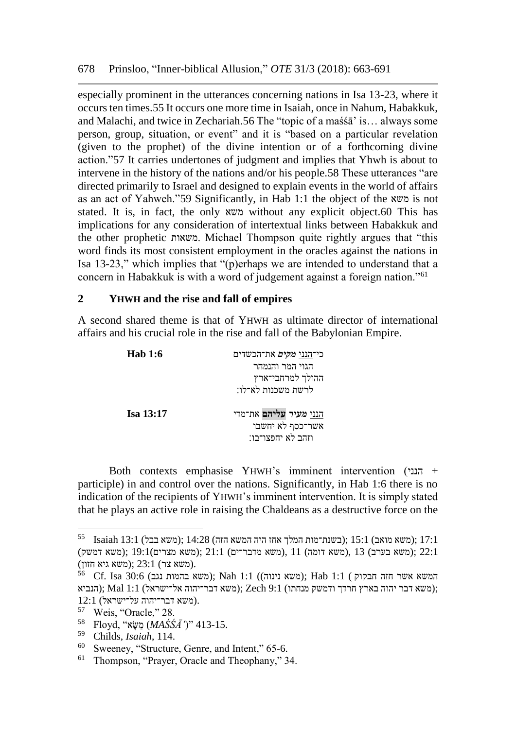especially prominent in the utterances concerning nations in Isa 13-23, where it occurs ten times.55 It occurs one more time in Isaiah, once in Nahum, Habakkuk, and Malachi, and twice in Zechariah.56 The "topic of a maśśā' is… always some person, group, situation, or event" and it is "based on a particular revelation (given to the prophet) of the divine intention or of a forthcoming divine action."57 It carries undertones of judgment and implies that Yhwh is about to intervene in the history of the nations and/or his people.58 These utterances "are directed primarily to Israel and designed to explain events in the world of affairs as an act of Yahweh."59 Significantly, in Hab 1:1 the object of the משא is not stated. It is, in fact, the only משא without any explicit object.60 This has implications for any consideration of intertextual links between Habakkuk and the other prophetic משאות. Michael Thompson quite rightly argues that "this word finds its most consistent employment in the oracles against the nations in Isa 13-23," which implies that "(p)erhaps we are intended to understand that a concern in Habakkuk is with a word of judgement against a foreign nation."<sup>61</sup>

## **2 YHWH and the rise and fall of empires**

A second shared theme is that of YHWH as ultimate director of international affairs and his crucial role in the rise and fall of the Babylonian Empire.

| <b>Hab</b> 1:6   | כי־הנני <i>מקים</i> את־הכשדים<br>הגוי המר והנמהר<br>ההולך למרחבי־ארץ<br>לרשת משכנות לא־לו: |
|------------------|--------------------------------------------------------------------------------------------|
| <b>Isa 13:17</b> | הנני מעיר עליהם את־מדי<br>אשר־כסף לא יחשבו<br>וזהב לא יחפצו־בו:                            |

Both contexts emphasise YHWH's imminent intervention (הנני + participle) in and control over the nations. Significantly, in Hab 1:6 there is no indication of the recipients of YHWH's imminent intervention. It is simply stated that he plays an active role in raising the Chaldeans as a destructive force on the

 $^{55}$  Isaiah 13:1 (משא בבל); 14:28  $\,$ isaiah 13:1 (משא בבל); 13:1 22:1 ;(משא בערב) 13 ,(משא דומה) 11 ,(משא מדבר־ים) 21:1 ;(משא מצרים)19:1 ;(משא דמשק) (משא גיא חזון);  $23:1$  (משא גיא חזון).

 $^{56}$  Cf. Isa 30:6 (משא בהמות נגב); Nah 1:1 (משא נינוה); Hab 1:1 (הפשא אשר חזה בקוק ;(משא דבר יהוה בארץ חרדך ודמשק מנחתו) 9:1 Zech); משא דבר־יהוה אל־ישראל) 1:1 Mal); הנביא .(משא דבר־יהוה על־ישראל) 12:1

<sup>57</sup> Weis, "Oracle," 28.

<sup>413-15. [</sup>Floyd, "*מֶשֶּׂא*" (*MAŚŚĀ'* )" 413-15.

<sup>59</sup> Childs, *Isaiah*, 114.

<sup>60</sup> Sweeney, "Structure, Genre, and Intent," 65-6.

<sup>61</sup> Thompson, "Prayer, Oracle and Theophany," 34.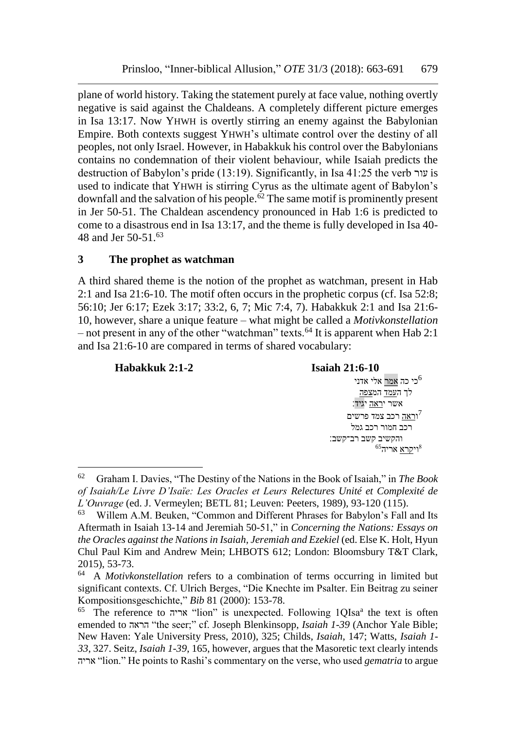plane of world history. Taking the statement purely at face value, nothing overtly negative is said against the Chaldeans. A completely different picture emerges in Isa 13:17. Now YHWH is overtly stirring an enemy against the Babylonian Empire. Both contexts suggest YHWH's ultimate control over the destiny of all peoples, not only Israel. However, in Habakkuk his control over the Babylonians contains no condemnation of their violent behaviour, while Isaiah predicts the destruction of Babylon's pride (13:19). Significantly, in Isa 41:25 the verb עור is used to indicate that YHWH is stirring Cyrus as the ultimate agent of Babylon's downfall and the salvation of his people. $62$  The same motif is prominently present in Jer 50-51. The Chaldean ascendency pronounced in Hab 1:6 is predicted to come to a disastrous end in Isa 13:17, and the theme is fully developed in Isa 40- 48 and Jer 50-51.<sup>63</sup>

## **3 The prophet as watchman**

l

A third shared theme is the notion of the prophet as watchman, present in Hab 2:1 and Isa 21:6-10. The motif often occurs in the prophetic corpus (cf. Isa 52:8; 56:10; Jer 6:17; Ezek 3:17; 33:2, 6, 7; Mic 7:4, 7). Habakkuk 2:1 and Isa 21:6- 10, however, share a unique feature – what might be called a *Motivkonstellation* – not present in any of the other "watchman" texts.<sup>64</sup> It is apparent when Hab 2:1 and Isa 21:6-10 are compared in terms of shared vocabulary:

**Habakkuk 2:1-2 Isaiah 21:6-10** י כי כה <u>אמר</u> אלי אדני $^6$  לך העמד המצפה אשר י<u>ראה</u> יגיד: ו<u>ראה</u> רכב צמד פרשים<sup>7</sup> רכב חמור רכב גמל והקשיב קשב רב־קשב׃  $^{65}$ וי<u>קרא</u> אריה<sup>65</sup>

<sup>62</sup> Graham I. Davies, "The Destiny of the Nations in the Book of Isaiah," in *The Book of Isaiah/Le Livre D'Isaïe: Les Oracles et Leurs Relectures Unité et Complexité de L'Ouvrage* (ed. J. Vermeylen; BETL 81; Leuven: Peeters, 1989), 93-120 (115).

Willem A.M. Beuken, "Common and Different Phrases for Babylon's Fall and Its Aftermath in Isaiah 13-14 and Jeremiah 50-51," in *Concerning the Nations: Essays on the Oracles against the Nations in Isaiah, Jeremiah and Ezekiel* (ed. Else K. Holt, Hyun Chul Paul Kim and Andrew Mein; LHBOTS 612; London: Bloomsbury T&T Clark, 2015), 53-73.

<sup>64</sup> A *Motivkonstellation* refers to a combination of terms occurring in limited but significant contexts. Cf. Ulrich Berges, "Die Knechte im Psalter. Ein Beitrag zu seiner Kompositionsgeschichte," *Bib* 81 (2000): 153-78.

<sup>&</sup>lt;sup>65</sup> The reference to אריה "lion" is unexpected. Following 1QIsa<sup>a</sup> the text is often emended to הראה" the seer;" cf. Joseph Blenkinsopp, *Isaiah 1-39* (Anchor Yale Bible; New Haven: Yale University Press, 2010), 325; Childs, *Isaiah*, 147; Watts, *Isaiah 1- 33*, 327. Seitz, *Isaiah 1-39*, 165, however, argues that the Masoretic text clearly intends אריה" lion." He points to Rashi's commentary on the verse, who used *gematria* to argue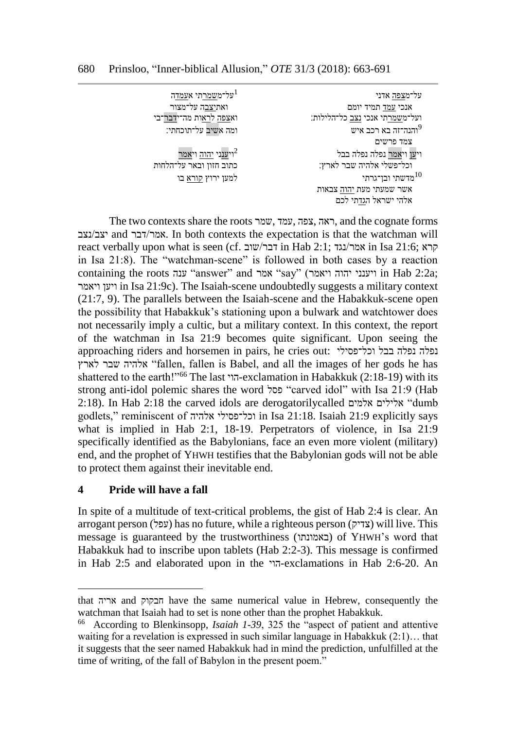על־משמרתי אעמדה $^1$ על־מצפה אדני אנכי עמד תמיד יומם ואתיצבה על־מצור ועל־משמרתי אנכי נצב כל־הלילות׃ ואצפה לראות מה־ידבר־בי <sup>9</sup>והנה־זה בא רכב איש ומה אשיב על־תוכחתי׃ צמד פרשים וי<u>ענ</u>ני <u>יהוה</u> וי<u>אמר</u> וי<u>ען</u> וי<u>אמר</u> נפלה נפלה בבל וכל־פשלי אלהיה שבר לארץ׃ כתוב חזון ובאר על־הלחות למען ירוץ קורא בו למען ירוץ קורא בו למען ירוץ למען ירוץ ה אשר שמעתי מעת יהוה צבאות אלהי ישראל הגדתי לכם

The two contexts share the roots שמר, עמד, צפה, ראה, and the cognate forms יצב/נצב and דבר, אמר/דבר. In both contexts the expectation is that the watchman will react verbally upon what is seen (cf. קרא in Hab 2:1; קרא in Isa 21:6; קרא in Isa 21:8). The "watchman-scene" is followed in both cases by a reaction containing the roots ענה" answer" and אמר" say" (ויאמר יהוה ויענני in Hab 2:2a; ויאמר ויען in Isa 21:9c). The Isaiah-scene undoubtedly suggests a military context (21:7, 9). The parallels between the Isaiah-scene and the Habakkuk-scene open the possibility that Habakkuk's stationing upon a bulwark and watchtower does not necessarily imply a cultic, but a military context. In this context, the report of the watchman in Isa 21:9 becomes quite significant. Upon seeing the approaching riders and horsemen in pairs, he cries out: וכל־פסילי בבל נפלה נפלה לארץ שבר אלהיה" fallen, fallen is Babel, and all the images of her gods he has shattered to the earth!"<sup>66</sup> The last הוי-exclamation in Habakkuk (2:18-19) with its strong anti-idol polemic shares the word פסל" carved idol" with Isa 21:9 (Hab 2:18). In Hab 2:18 the carved idols are derogatorilycalled אלמים אלילים" dumb godlets," reminiscent of אלהיה וכל־פסילי in Isa 21:18. Isaiah 21:9 explicitly says what is implied in Hab 2:1, 18-19. Perpetrators of violence, in Isa 21:9 specifically identified as the Babylonians, face an even more violent (military) end, and the prophet of YHWH testifies that the Babylonian gods will not be able to protect them against their inevitable end.

# **4 Pride will have a fall**

In spite of a multitude of text-critical problems, the gist of Hab 2:4 is clear. An arrogant person (עפל) has no future, while a righteous person (צדיק) will live. This message is guaranteed by the trustworthiness (באמונתו (of YHWH's word that Habakkuk had to inscribe upon tablets (Hab 2:2-3). This message is confirmed in Hab 2:5 and elaborated upon in the הוי-exclamations in Hab 2:6-20. An

that אריה and חבקוק have the same numerical value in Hebrew, consequently the watchman that Isaiah had to set is none other than the prophet Habakkuk.

<sup>66</sup> According to Blenkinsopp, *Isaiah 1-39*, 325 the "aspect of patient and attentive waiting for a revelation is expressed in such similar language in Habakkuk (2:1)… that it suggests that the seer named Habakkuk had in mind the prediction, unfulfilled at the time of writing, of the fall of Babylon in the present poem."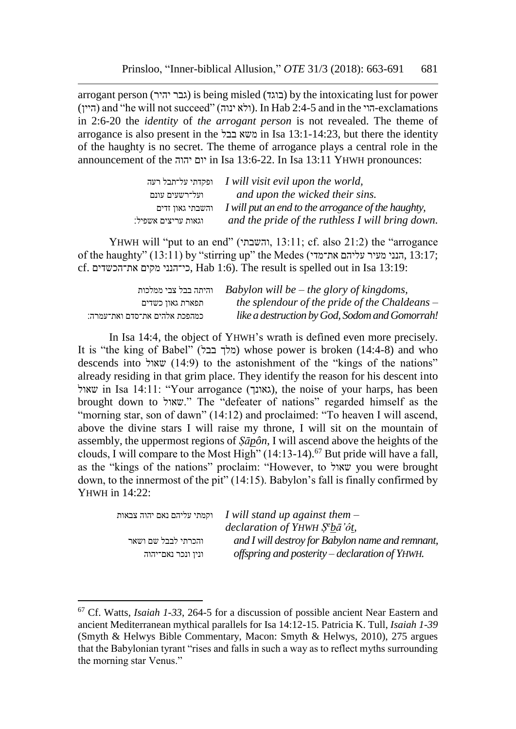arrogant person (יהיר גבר (is being misled (בוגד (by the intoxicating lust for power (היין) and "he will not succeed" (ולא ינוה). In Hab 2:4-5 and in the הוי $-$ exclamations in 2:6-20 the *identity* of *the arrogant person* is not revealed. The theme of arrogance is also present in the בבל משא in Isa 13:1-14:23, but there the identity of the haughty is no secret. The theme of arrogance plays a central role in the announcement of the יהוה יום in Isa 13:6-22. In Isa 13:11 YHWH pronounces:

|                     | ופקדתי על־תבל רעה I will visit evil upon the world, |
|---------------------|-----------------------------------------------------|
| ועל־רשעים עונם      | and upon the wicked their sins.                     |
| והשבתי גאון זדים    | I will put an end to the arrogance of the haughty,  |
| וגאות עריצים אשפיל: | and the pride of the ruthless I will bring down.    |

YHWH will "put to an end" (והשבתי, 13:11 ;cf. also 21:2) the "arrogance of the haughty" (13:11) by "stirring up" the Medes (את־מדי עליהם מעיר הנני, 13:17 ; cf. את־הכשדים מקים כי־הנני, Hab 1:6). The result is spelled out in Isa 13:19:

| והיתה בבל צבי ממלכות          | Babylon will be $-$ the glory of kingdoms,      |
|-------------------------------|-------------------------------------------------|
| תפארת גאון כשדים              | the splendour of the pride of the Chaldeans $-$ |
| כמהפכת אלהים את־סדם ואת־עמרה: | like a destruction by God, Sodom and Gomorrah!  |

In Isa 14:4, the object of YHWH's wrath is defined even more precisely. It is "the king of Babel" (מלך בבל) whose power is broken (14:4-8) and who descends into שאול) to the astonishment of the "kings of the nations" already residing in that grim place. They identify the reason for his descent into שאול), the noise of your harps, has been (גאונך), the noise of your harps, has been brought down to שאול. "The "defeater of nations" regarded himself as the "morning star, son of dawn" (14:12) and proclaimed: "To heaven I will ascend, above the divine stars I will raise my throne, I will sit on the mountain of assembly, the uppermost regions of *Ṣāpôn*, I will ascend above the heights of the clouds, I will compare to the Most High"  $(14:13-14)$ .<sup>67</sup> But pride will have a fall, as the "kings of the nations" proclaim: "However, to שאול you were brought down, to the innermost of the pit" (14:15). Babylon's fall is finally confirmed by YHWH in 14:22:

|                     | וקמתי עליהם נאם יהוה צבאות I will stand up against them $-$   |
|---------------------|---------------------------------------------------------------|
|                     | declaration of YHWH $\tilde{S}^e b \bar{a}' \hat{\sigma} t$ , |
| והכרתי לבבל שם ושאר | and I will destroy for Babylon name and remnant,              |
| ונין ונכר נאם־יהוה  | offspring and posterity $-\,de$ declaration of YHWH.          |

<sup>67</sup> Cf. Watts, *Isaiah 1-33*, 264-5 for a discussion of possible ancient Near Eastern and ancient Mediterranean mythical parallels for Isa 14:12-15. Patricia K. Tull, *Isaiah 1-39* (Smyth & Helwys Bible Commentary, Macon: Smyth & Helwys, 2010), 275 argues that the Babylonian tyrant "rises and falls in such a way as to reflect myths surrounding the morning star Venus."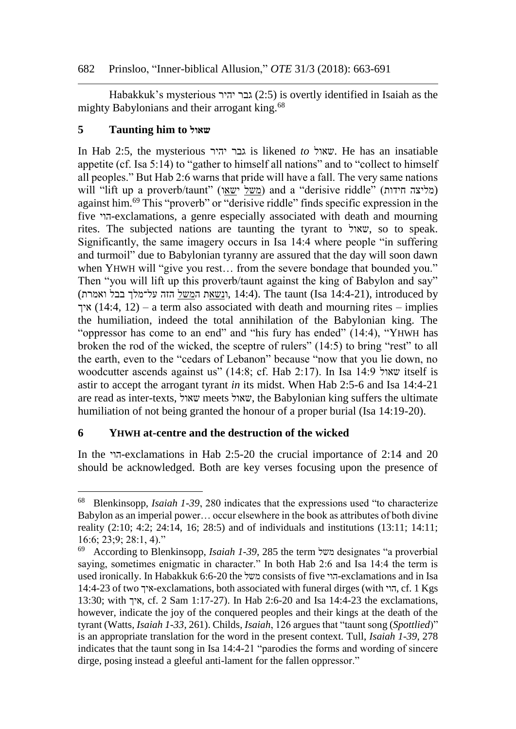## 682 Prinsloo, "Inner-biblical Allusion," *OTE* 31/3 (2018): 663-691

Habakkuk's mysterious גבר יהיר (2:5) is overtly identified in Isaiah as the mighty Babylonians and their arrogant king.<sup>68</sup>

# **5 Taunting him to שאול**

In Hab 2:5, the mysterious יהיר גבר is likened *to* שאול. He has an insatiable appetite (cf. Isa 5:14) to "gather to himself all nations" and to "collect to himself all peoples." But Hab 2:6 warns that pride will have a fall. The very same nations will "lift up a proverb/taunt" (מליצה חידות) and a "derisive riddle" (מליצה חידות) against him.<sup>69</sup> This "proverb" or "derisive riddle" finds specific expression in the five הוי-exclamations, a genre especially associated with death and mourning rites. The subjected nations are taunting the tyrant to שאול, so to speak. Significantly, the same imagery occurs in Isa 14:4 where people "in suffering and turmoil" due to Babylonian tyranny are assured that the day will soon dawn when YHWH will "give you rest... from the severe bondage that bounded you." Then "you will lift up this proverb/taunt against the king of Babylon and say" ו<u>נשאת המשל</u> הזה על־מלך בבל ואמרת), 14:4). The taunt (Isa 14:4-21), introduced by איך (14:4, 12) – a term also associated with death and mourning rites – implies the humiliation, indeed the total annihilation of the Babylonian king. The "oppressor has come to an end" and "his fury has ended" (14:4), "YHWH has broken the rod of the wicked, the sceptre of rulers" (14:5) to bring "rest" to all the earth, even to the "cedars of Lebanon" because "now that you lie down, no woodcutter ascends against us" (14:8; cf. Hab 2:17). In Isa 14:9 שאול itself is astir to accept the arrogant tyrant *in* its midst. When Hab 2:5-6 and Isa 14:4-21 are read as inter-texts, שאול meets שאול, the Babylonian king suffers the ultimate humiliation of not being granted the honour of a proper burial (Isa 14:19-20).

# **6 YHWH at-centre and the destruction of the wicked**

In the הוי-exclamations in Hab 2:5-20 the crucial importance of 2:14 and 20 should be acknowledged. Both are key verses focusing upon the presence of

<sup>68</sup> Blenkinsopp, *Isaiah 1-39*, 280 indicates that the expressions used "to characterize Babylon as an imperial power… occur elsewhere in the book as attributes of both divine reality (2:10; 4:2; 24:14, 16; 28:5) and of individuals and institutions (13:11; 14:11; 16:6; 23;9; 28:1, 4)."

<sup>69</sup> According to Blenkinsopp, *Isaiah 1-39*, 285 the term משל designates "a proverbial saying, sometimes enigmatic in character." In both Hab 2:6 and Isa 14:4 the term is used ironically. In Habakkuk 6:6-20 the משל consists of five הוי-exclamations and in Isa 14:4-23 of two איך-exclamations, both associated with funeral dirges (with הוי, cf. 1 Kgs 13:30; with איך, cf. 2 Sam 1:17-27). In Hab 2:6-20 and Isa 14:4-23 the exclamations, however, indicate the joy of the conquered peoples and their kings at the death of the tyrant (Watts, *Isaiah 1-33*, 261). Childs, *Isaiah*, 126 argues that "taunt song (*Spottlied*)" is an appropriate translation for the word in the present context. Tull, *Isaiah 1-39*, 278 indicates that the taunt song in Isa 14:4-21 "parodies the forms and wording of sincere dirge, posing instead a gleeful anti-lament for the fallen oppressor."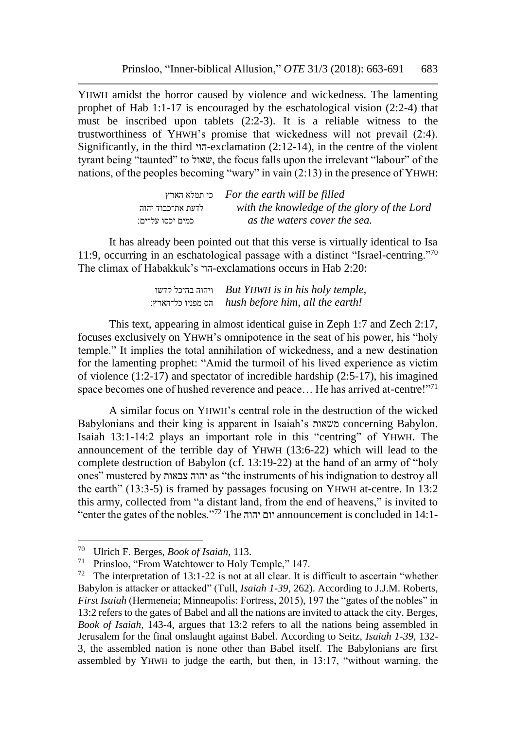YHWH amidst the horror caused by violence and wickedness. The lamenting prophet of Hab 1:1-17 is encouraged by the eschatological vision (2:2-4) that must be inscribed upon tablets (2:2-3). It is a reliable witness to the trustworthiness of YHWH's promise that wickedness will not prevail (2:4). Significantly, in the third הוי-exclamation (2:12-14), in the centre of the violent tyrant being "taunted" to שאול, the focus falls upon the irrelevant "labour" of the nations, of the peoples becoming "wary" in vain (2:13) in the presence of YHWH:

|                   | כי תמלא הארץ For the earth will be filled   |
|-------------------|---------------------------------------------|
| לדעת את־כבוד יהוה | with the knowledge of the glory of the Lord |
| כמים יכסו על־ים:  | as the waters cover the sea.                |

It has already been pointed out that this verse is virtually identical to Isa 11:9, occurring in an eschatological passage with a distinct "Israel-centring."<sup>70</sup> The climax of Habakkuk's הוי-exclamations occurs in Hab 2:20:

> קדשו בהיכל ויהוה *But YHWH is in his holy temple,* כל־הארץ׃ מפניו הס *hush before him, all the earth!*

This text, appearing in almost identical guise in Zeph 1:7 and Zech 2:17, focuses exclusively on YHWH's omnipotence in the seat of his power, his "holy temple." It implies the total annihilation of wickedness, and a new destination for the lamenting prophet: "Amid the turmoil of his lived experience as victim of violence (1:2-17) and spectator of incredible hardship (2:5-17), his imagined space becomes one of hushed reverence and peace... He has arrived at-centre!"<sup>71</sup>

A similar focus on YHWH's central role in the destruction of the wicked Babylonians and their king is apparent in Isaiah's משאות concerning Babylon. Isaiah 13:1-14:2 plays an important role in this "centring" of YHWH. The announcement of the terrible day of YHWH (13:6-22) which will lead to the complete destruction of Babylon (cf. 13:19-22) at the hand of an army of "holy ones" mustered by צבאות יהוה as "the instruments of his indignation to destroy all the earth" (13:3-5) is framed by passages focusing on YHWH at-centre. In 13:2 this army, collected from "a distant land, from the end of heavens," is invited to "enter the gates of the nobles."<sup>72</sup> The יהוה יום announcement is concluded in 14:1-

<sup>70</sup> Ulrich F. Berges, *Book of Isaiah*, 113.

<sup>71</sup> Prinsloo, "From Watchtower to Holy Temple," 147.

<sup>&</sup>lt;sup>72</sup> The interpretation of 13:1-22 is not at all clear. It is difficult to ascertain "whether Babylon is attacker or attacked" (Tull, *Isaiah 1-39*, 262). According to J.J.M. Roberts, *First Isaiah* (Hermeneia; Minneapolis: Fortress, 2015), 197 the "gates of the nobles" in 13:2 refers to the gates of Babel and all the nations are invited to attack the city. Berges, *Book of Isaiah*, 143-4, argues that 13:2 refers to all the nations being assembled in Jerusalem for the final onslaught against Babel. According to Seitz, *Isaiah 1-39*, 132- 3, the assembled nation is none other than Babel itself. The Babylonians are first assembled by YHWH to judge the earth, but then, in 13:17, "without warning, the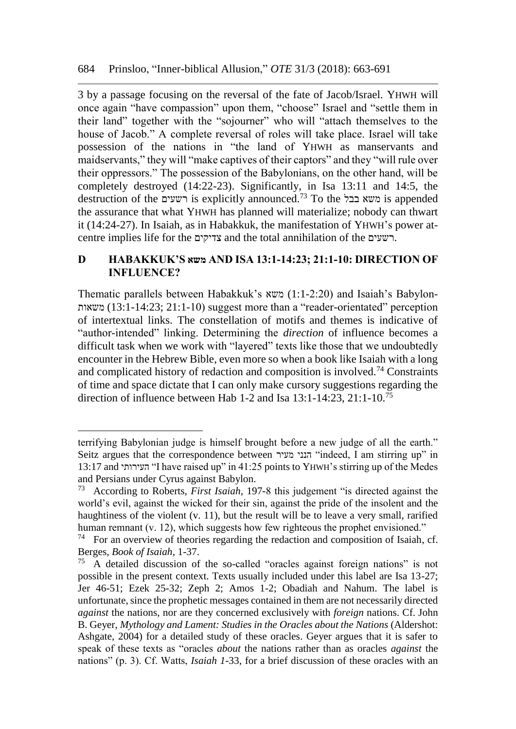3 by a passage focusing on the reversal of the fate of Jacob/Israel. YHWH will once again "have compassion" upon them, "choose" Israel and "settle them in their land" together with the "sojourner" who will "attach themselves to the house of Jacob." A complete reversal of roles will take place. Israel will take possession of the nations in "the land of YHWH as manservants and maidservants," they will "make captives of their captors" and they "will rule over their oppressors." The possession of the Babylonians, on the other hand, will be completely destroyed (14:22-23). Significantly, in Isa 13:11 and 14:5, the destruction of the רשעים is explicitly announced.<sup>73</sup> To the בבל משא is appended the assurance that what YHWH has planned will materialize; nobody can thwart it (14:24-27). In Isaiah, as in Habakkuk, the manifestation of YHWH's power atcentre implies life for the צדיקים and the total annihilation of the רשעים.

## **D HABAKKUK'S משא AND ISA 13:1-14:23; 21:1-10: DIRECTION OF INFLUENCE?**

Thematic parallels between Habakkuk's משא) 1:1-2:20 (and Isaiah's Babylon-משאות) 13:1-14:23 ;21:1-10 (suggest more than a "reader-orientated" perception of intertextual links. The constellation of motifs and themes is indicative of "author-intended" linking. Determining the *direction* of influence becomes a difficult task when we work with "layered" texts like those that we undoubtedly encounter in the Hebrew Bible, even more so when a book like Isaiah with a long and complicated history of redaction and composition is involved.<sup>74</sup> Constraints of time and space dictate that I can only make cursory suggestions regarding the direction of influence between Hab 1-2 and Isa 13:1-14:23, 21:1-10.<sup>75</sup>

terrifying Babylonian judge is himself brought before a new judge of all the earth." Seitz argues that the correspondence between מעיר הנני" indeed, I am stirring up" in 13:17 and העירותי" I have raised up" in 41:25 points to YHWH's stirring up of the Medes and Persians under Cyrus against Babylon.<br><sup>73</sup> According to Roberts *First Isaigh* 19

<sup>73</sup> According to Roberts, *First Isaiah*, 197-8 this judgement "is directed against the world's evil, against the wicked for their sin, against the pride of the insolent and the haughtiness of the violent (v. 11), but the result will be to leave a very small, rarified human remnant (v. 12), which suggests how few righteous the prophet envisioned."<br> $74$  For an overview of theories regarding the redaction and composition of Isaiah

For an overview of theories regarding the redaction and composition of Isaiah, cf. Berges, *Book of Isaiah*, 1-37.

<sup>75</sup> A detailed discussion of the so-called "oracles against foreign nations" is not possible in the present context. Texts usually included under this label are Isa 13-27; Jer 46-51; Ezek 25-32; Zeph 2; Amos 1-2; Obadiah and Nahum. The label is unfortunate, since the prophetic messages contained in them are not necessarily directed *against* the nations, nor are they concerned exclusively with *foreign* nations. Cf. John B. Geyer, *Mythology and Lament: Studies in the Oracles about the Nations* (Aldershot: Ashgate, 2004) for a detailed study of these oracles. Geyer argues that it is safer to speak of these texts as "oracles *about* the nations rather than as oracles *against* the nations" (p. 3). Cf. Watts, *Isaiah 1-*33, for a brief discussion of these oracles with an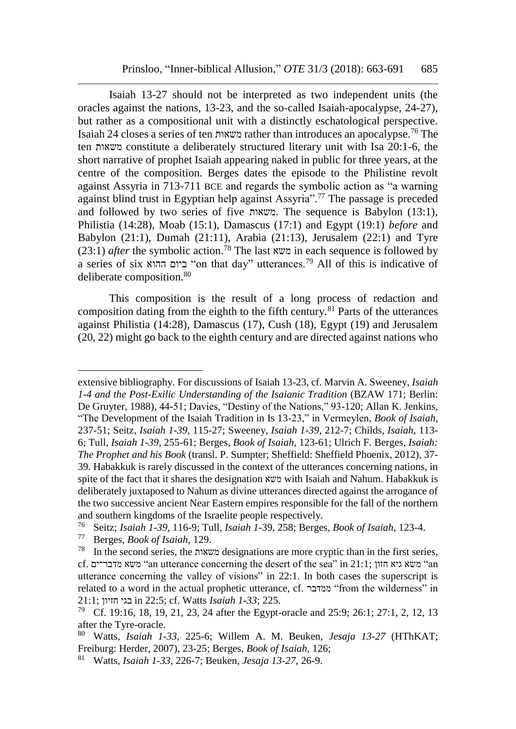Isaiah 13-27 should not be interpreted as two independent units (the oracles against the nations, 13-23, and the so-called Isaiah-apocalypse, 24-27), but rather as a compositional unit with a distinctly eschatological perspective. Isaiah 24 closes a series of ten משאות rather than introduces an apocalypse.<sup>76</sup> The ten משאות constitute a deliberately structured literary unit with Isa 20:1-6, the short narrative of prophet Isaiah appearing naked in public for three years, at the centre of the composition. Berges dates the episode to the Philistine revolt against Assyria in 713-711 BCE and regards the symbolic action as "a warning against blind trust in Egyptian help against Assyria".<sup>77</sup> The passage is preceded and followed by two series of five משאות. The sequence is Babylon (13:1), Philistia (14:28), Moab (15:1), Damascus (17:1) and Egypt (19:1) *before* and Babylon (21:1), Dumah (21:11), Arabia (21:13), Jerusalem (22:1) and Tyre (23:1) *after* the symbolic action.<sup>78</sup> The last משא in each sequence is followed by a series of six ההוא ביום" on that day" utterances.<sup>79</sup> All of this is indicative of deliberate composition.<sup>80</sup>

This composition is the result of a long process of redaction and composition dating from the eighth to the fifth century.<sup>81</sup> Parts of the utterances against Philistia (14:28), Damascus (17), Cush (18), Egypt (19) and Jerusalem (20, 22) might go back to the eighth century and are directed against nations who

extensive bibliography. For discussions of Isaiah 13-23, cf. Marvin A. Sweeney, *Isaiah 1-4 and the Post-Exilic Understanding of the Isaianic Tradition* (BZAW 171; Berlin: De Gruyter, 1988), 44-51; Davies, "Destiny of the Nations," 93-120; Allan K. Jenkins, "The Development of the Isaiah Tradition in Is 13-23," in Vermeylen, *Book of Isaiah*, 237-51; Seitz, *Isaiah 1-39*, 115-27; Sweeney, *Isaiah 1-39*, 212-7; Childs, *Isaiah*, 113- 6; Tull, *Isaiah 1-39*, 255-61; Berges, *Book of Isaiah*, 123-61; Ulrich F. Berges, *Isaiah: The Prophet and his Book* (transl. P. Sumpter; Sheffield: Sheffield Phoenix, 2012), 37- 39. Habakkuk is rarely discussed in the context of the utterances concerning nations, in spite of the fact that it shares the designation משא with Isaiah and Nahum. Habakkuk is deliberately juxtaposed to Nahum as divine utterances directed against the arrogance of the two successive ancient Near Eastern empires responsible for the fall of the northern and southern kingdoms of the Israelite people respectively.

<sup>76</sup> Seitz; *Isaiah 1-39*, 116-9; Tull, *Isaiah 1-*39, 258; Berges, *Book of Isaiah*, 123-4.

<sup>77</sup> Berges, *Book of Isaiah*, 129.

<sup>78</sup> In the second series, the משאות designations are more cryptic than in the first series, cf. משא מדבר־ים "an utterance concerning the desert of the sea" in 21:1; משא מדבר־ים utterance concerning the valley of visions" in 22:1. In both cases the superscript is related to a word in the actual prophetic utterance, cf. ממדבר" from the wilderness" in 21:1; חזיון בגי in 22:5; cf. Watts *Isaiah 1-33*; 225.

<sup>79</sup> Cf. 19:16, 18, 19, 21, 23, 24 after the Egypt-oracle and 25:9; 26:1; 27:1, 2, 12, 13 after the Tyre-oracle.

<sup>80</sup> Watts, *Isaiah 1-33*, 225-6; Willem A. M. Beuken, *Jesaja 13-27* (HThKAT; Freiburg: Herder, 2007), 23-25; Berges, *Book of Isaiah*, 126;

<sup>81</sup> Watts, *Isaiah 1-33*, 226-7; Beuken, *Jesaja 13-27*, 26-9.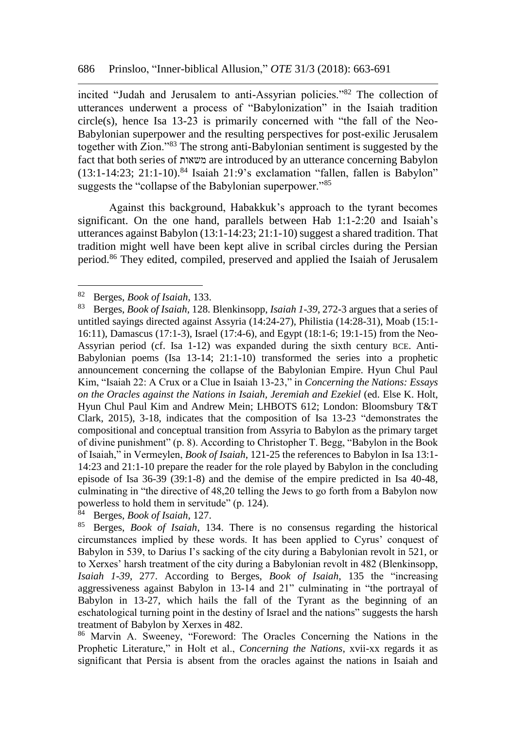incited "Judah and Jerusalem to anti-Assyrian policies."<sup>82</sup> The collection of utterances underwent a process of "Babylonization" in the Isaiah tradition circle(s), hence Isa 13-23 is primarily concerned with "the fall of the Neo-Babylonian superpower and the resulting perspectives for post-exilic Jerusalem together with Zion."<sup>83</sup> The strong anti-Babylonian sentiment is suggested by the fact that both series of משאות are introduced by an utterance concerning Babylon  $(13:1-14:23; 21:1-10).$ <sup>84</sup> Isaiah 21:9's exclamation "fallen, fallen is Babylon" suggests the "collapse of the Babylonian superpower."<sup>85</sup>

Against this background, Habakkuk's approach to the tyrant becomes significant. On the one hand, parallels between Hab 1:1-2:20 and Isaiah's utterances against Babylon (13:1-14:23; 21:1-10) suggest a shared tradition. That tradition might well have been kept alive in scribal circles during the Persian period.<sup>86</sup> They edited, compiled, preserved and applied the Isaiah of Jerusalem

<sup>82</sup> Berges, *Book of Isaiah*, 133.

<sup>83</sup> Berges, *Book of Isaiah*, 128. Blenkinsopp, *Isaiah 1-39*, 272-3 argues that a series of untitled sayings directed against Assyria (14:24-27), Philistia (14:28-31), Moab (15:1- 16:11), Damascus (17:1-3), Israel (17:4-6), and Egypt (18:1-6; 19:1-15) from the Neo-Assyrian period (cf. Isa 1-12) was expanded during the sixth century BCE. Anti-Babylonian poems (Isa 13-14; 21:1-10) transformed the series into a prophetic announcement concerning the collapse of the Babylonian Empire. Hyun Chul Paul Kim, "Isaiah 22: A Crux or a Clue in Isaiah 13-23," in *Concerning the Nations: Essays on the Oracles against the Nations in Isaiah, Jeremiah and Ezekiel* (ed. Else K. Holt, Hyun Chul Paul Kim and Andrew Mein; LHBOTS 612; London: Bloomsbury T&T Clark, 2015), 3-18, indicates that the composition of Isa 13-23 "demonstrates the compositional and conceptual transition from Assyria to Babylon as the primary target of divine punishment" (p. 8). According to Christopher T. Begg, "Babylon in the Book of Isaiah," in Vermeylen, *Book of Isaiah*, 121-25 the references to Babylon in Isa 13:1- 14:23 and 21:1-10 prepare the reader for the role played by Babylon in the concluding episode of Isa 36-39 (39:1-8) and the demise of the empire predicted in Isa 40-48, culminating in "the directive of 48,20 telling the Jews to go forth from a Babylon now powerless to hold them in servitude" (p. 124).

<sup>84</sup> Berges, *Book of Isaiah*, 127.

<sup>85</sup> Berges, *Book of Isaiah*, 134. There is no consensus regarding the historical circumstances implied by these words. It has been applied to Cyrus' conquest of Babylon in 539, to Darius I's sacking of the city during a Babylonian revolt in 521, or to Xerxes' harsh treatment of the city during a Babylonian revolt in 482 (Blenkinsopp, *Isaiah 1-39*, 277. According to Berges, *Book of Isaiah*, 135 the "increasing aggressiveness against Babylon in 13-14 and 21" culminating in "the portrayal of Babylon in 13-27, which hails the fall of the Tyrant as the beginning of an eschatological turning point in the destiny of Israel and the nations" suggests the harsh treatment of Babylon by Xerxes in 482.

<sup>86</sup> Marvin A. Sweeney, "Foreword: The Oracles Concerning the Nations in the Prophetic Literature," in Holt et al., *Concerning the Nations*, xvii-xx regards it as significant that Persia is absent from the oracles against the nations in Isaiah and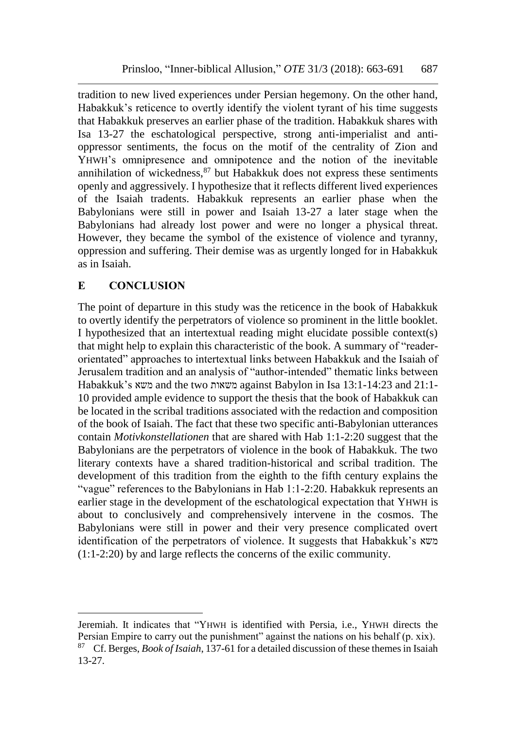tradition to new lived experiences under Persian hegemony. On the other hand, Habakkuk's reticence to overtly identify the violent tyrant of his time suggests that Habakkuk preserves an earlier phase of the tradition. Habakkuk shares with Isa 13-27 the eschatological perspective, strong anti-imperialist and antioppressor sentiments, the focus on the motif of the centrality of Zion and YHWH's omnipresence and omnipotence and the notion of the inevitable annihilation of wickedness, $87$  but Habakkuk does not express these sentiments openly and aggressively. I hypothesize that it reflects different lived experiences of the Isaiah tradents. Habakkuk represents an earlier phase when the Babylonians were still in power and Isaiah 13-27 a later stage when the Babylonians had already lost power and were no longer a physical threat. However, they became the symbol of the existence of violence and tyranny, oppression and suffering. Their demise was as urgently longed for in Habakkuk as in Isaiah.

# **E CONCLUSION**

 $\overline{a}$ 

The point of departure in this study was the reticence in the book of Habakkuk to overtly identify the perpetrators of violence so prominent in the little booklet. I hypothesized that an intertextual reading might elucidate possible context(s) that might help to explain this characteristic of the book. A summary of "readerorientated" approaches to intertextual links between Habakkuk and the Isaiah of Jerusalem tradition and an analysis of "author-intended" thematic links between Habakkuk's משא and the two משאות against Babylon in Isa 13:1-14:23 and 21:1- 10 provided ample evidence to support the thesis that the book of Habakkuk can be located in the scribal traditions associated with the redaction and composition of the book of Isaiah. The fact that these two specific anti-Babylonian utterances contain *Motivkonstellationen* that are shared with Hab 1:1-2:20 suggest that the Babylonians are the perpetrators of violence in the book of Habakkuk. The two literary contexts have a shared tradition-historical and scribal tradition. The development of this tradition from the eighth to the fifth century explains the "vague" references to the Babylonians in Hab 1:1-2:20. Habakkuk represents an earlier stage in the development of the eschatological expectation that YHWH is about to conclusively and comprehensively intervene in the cosmos. The Babylonians were still in power and their very presence complicated overt identification of the perpetrators of violence. It suggests that Habakkuk's משא (1:1-2:20) by and large reflects the concerns of the exilic community.

Jeremiah. It indicates that "YHWH is identified with Persia, i.e., YHWH directs the Persian Empire to carry out the punishment" against the nations on his behalf (p. xix). <sup>87</sup> Cf. Berges, *Book of Isaiah*, 137-61 for a detailed discussion of these themes in Isaiah 13-27.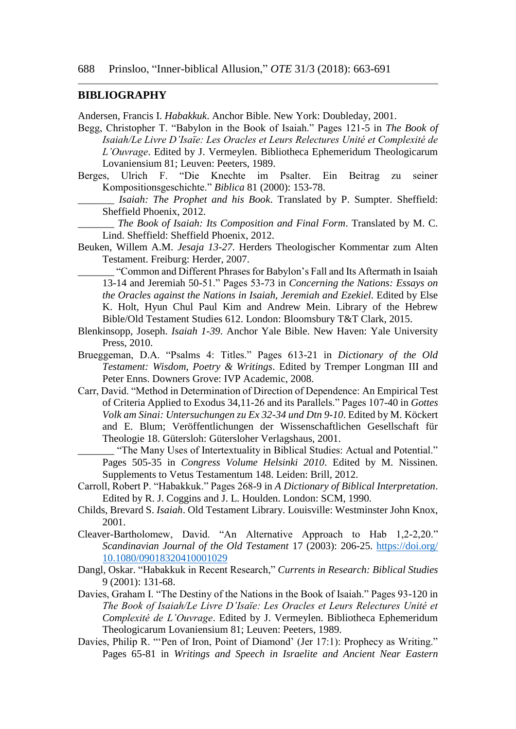#### **BIBLIOGRAPHY**

Andersen, Francis I. *Habakkuk*. Anchor Bible. New York: Doubleday, 2001.

- Begg, Christopher T. "Babylon in the Book of Isaiah." Pages 121-5 in *The Book of Isaiah/Le Livre D'Isaïe: Les Oracles et Leurs Relectures Unité et Complexité de L'Ouvrage*. Edited by J. Vermeylen. Bibliotheca Ephemeridum Theologicarum Lovaniensium 81; Leuven: Peeters, 1989.
- Berges, Ulrich F. "Die Knechte im Psalter. Ein Beitrag zu seiner Kompositionsgeschichte." *Biblica* 81 (2000): 153-78.
	- \_\_\_\_\_\_\_ *Isaiah: The Prophet and his Book*. Translated by P. Sumpter. Sheffield: Sheffield Phoenix, 2012.

\_\_\_\_\_\_\_ *The Book of Isaiah: Its Composition and Final Form*. Translated by M. C. Lind. Sheffield: Sheffield Phoenix, 2012.

Beuken, Willem A.M. *Jesaja 13-27*. Herders Theologischer Kommentar zum Alten Testament. Freiburg: Herder, 2007.

\_\_\_\_\_\_\_ "Common and Different Phrases for Babylon's Fall and Its Aftermath in Isaiah 13-14 and Jeremiah 50-51." Pages 53-73 in *Concerning the Nations: Essays on the Oracles against the Nations in Isaiah, Jeremiah and Ezekiel*. Edited by Else K. Holt, Hyun Chul Paul Kim and Andrew Mein. Library of the Hebrew Bible/Old Testament Studies 612. London: Bloomsbury T&T Clark, 2015.

- Blenkinsopp, Joseph. *Isaiah 1-39*. Anchor Yale Bible. New Haven: Yale University Press, 2010.
- Brueggeman, D.A. "Psalms 4: Titles." Pages 613-21 in *Dictionary of the Old Testament: Wisdom, Poetry & Writings*. Edited by Tremper Longman III and Peter Enns. Downers Grove: IVP Academic, 2008.
- Carr, David. "Method in Determination of Direction of Dependence: An Empirical Test of Criteria Applied to Exodus 34,11-26 and its Parallels." Pages 107-40 in *Gottes Volk am Sinai: Untersuchungen zu Ex 32-34 und Dtn 9-10*. Edited by M. Köckert and E. Blum; Veröffentlichungen der Wissenschaftlichen Gesellschaft für Theologie 18. Gütersloh: Gütersloher Verlagshaus, 2001.

\_\_\_\_\_\_\_ "The Many Uses of Intertextuality in Biblical Studies: Actual and Potential." Pages 505-35 in *Congress Volume Helsinki 2010*. Edited by M. Nissinen. Supplements to Vetus Testamentum 148. Leiden: Brill, 2012.

- Carroll, Robert P. "Habakkuk." Pages 268-9 in *A Dictionary of Biblical Interpretation*. Edited by R. J. Coggins and J. L. Houlden. London: SCM, 1990.
- Childs, Brevard S. *Isaiah*. Old Testament Library. Louisville: Westminster John Knox, 2001.
- Cleaver-Bartholomew, David. "An Alternative Approach to Hab 1,2-2,20." *Scandinavian Journal of the Old Testament* 17 (2003): 206-25. [https://doi.org/](https://doi.org/%2010.1080/09018320410001029)  [10.1080/09018320410001029](https://doi.org/%2010.1080/09018320410001029)
- Dangl, Oskar. "Habakkuk in Recent Research," *Currents in Research: Biblical Studies* 9 (2001): 131-68.
- Davies, Graham I. "The Destiny of the Nations in the Book of Isaiah." Pages 93-120 in *The Book of Isaiah/Le Livre D'Isaïe: Les Oracles et Leurs Relectures Unité et Complexité de L'Ouvrage*. Edited by J. Vermeylen. Bibliotheca Ephemeridum Theologicarum Lovaniensium 81; Leuven: Peeters, 1989.
- Davies, Philip R. "'Pen of Iron, Point of Diamond' (Jer 17:1): Prophecy as Writing." Pages 65-81 in *Writings and Speech in Israelite and Ancient Near Eastern*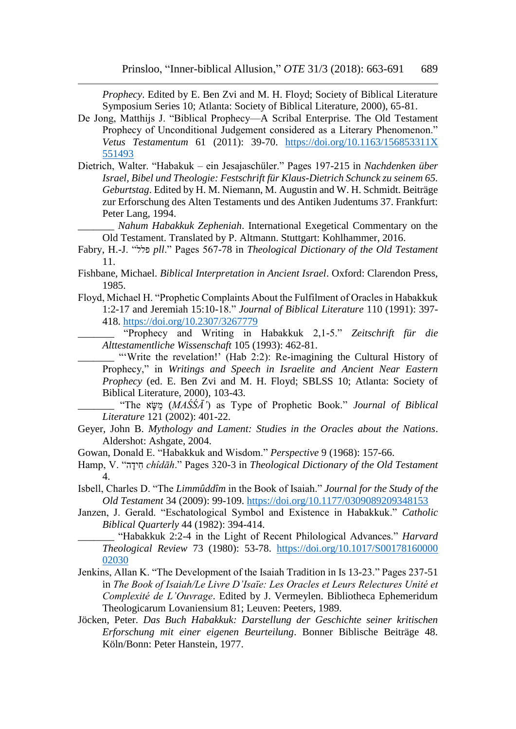*Prophecy*. Edited by E. Ben Zvi and M. H. Floyd; Society of Biblical Literature Symposium Series 10; Atlanta: Society of Biblical Literature, 2000), 65-81.

- De Jong, Matthijs J. "Biblical Prophecy—A Scribal Enterprise. The Old Testament Prophecy of Unconditional Judgement considered as a Literary Phenomenon." *Vetus Testamentum* 61 (2011): 39-70. [https://doi.org/10.1163/156853311X](https://doi.org/10.1163/156853311X%20551493)  [551493](https://doi.org/10.1163/156853311X%20551493)
- Dietrich, Walter. "Habakuk ein Jesajaschüler." Pages 197-215 in *Nachdenken über Israel, Bibel und Theologie: Festschrift für Klaus-Dietrich Schunck zu seinem 65. Geburtstag*. Edited by H. M. Niemann, M. Augustin and W. H. Schmidt. Beiträge zur Erforschung des Alten Testaments und des Antiken Judentums 37. Frankfurt: Peter Lang, 1994.
	- \_\_\_\_\_\_\_ *Nahum Habakkuk Zepheniah*. International Exegetical Commentary on the Old Testament. Translated by P. Altmann. Stuttgart: Kohlhammer, 2016.
- Fabry, H.-J. "פלל *pll*." Pages 567-78 in *Theological Dictionary of the Old Testament* 11.
- Fishbane, Michael. *Biblical Interpretation in Ancient Israel*. Oxford: Clarendon Press, 1985.
- Floyd, Michael H. "Prophetic Complaints About the Fulfilment of Oracles in Habakkuk 1:2-17 and Jeremiah 15:10-18." *Journal of Biblical Literature* 110 (1991): 397- 418. <https://doi.org/10.2307/3267779>

\_\_\_\_\_\_\_ "Prophecy and Writing in Habakkuk 2,1-5." *Zeitschrift für die Alttestamentliche Wissenschaft* 105 (1993): 462-81.

\_\_\_\_\_\_\_ "'Write the revelation!' (Hab 2:2): Re-imagining the Cultural History of Prophecy," in *Writings and Speech in Israelite and Ancient Near Eastern Prophecy* (ed. E. Ben Zvi and M. H. Floyd; SBLSS 10; Atlanta: Society of Biblical Literature, 2000), 103-43.

\_\_\_\_\_\_\_ "The אָּׂשַמ) *MAŚŚĀ'*) as Type of Prophetic Book." *Journal of Biblical Literature* 121 (2002): 401-22.

- Geyer, John B. *Mythology and Lament: Studies in the Oracles about the Nations*. Aldershot: Ashgate, 2004.
- Gowan, Donald E. "Habakkuk and Wisdom." *Perspective* 9 (1968): 157-66.
- Hamp, V. "הָּׂידִח *chîdāh*." Pages 320-3 in *Theological Dictionary of the Old Testament* 4.
- Isbell, Charles D. "The *Limmûddîm* in the Book of Isaiah." *Journal for the Study of the Old Testament* 34 (2009): 99-109. <https://doi.org/10.1177/0309089209348153>
- Janzen, J. Gerald. "Eschatological Symbol and Existence in Habakkuk." *Catholic Biblical Quarterly* 44 (1982): 394-414.
	- \_\_\_\_\_\_\_ "Habakkuk 2:2-4 in the Light of Recent Philological Advances." *Harvard Theological Review* 73 (1980): 53-78. [https://doi.org/10.1017/S00178160000](https://doi.org/10.1017/S00178160000%2002030)  [02030](https://doi.org/10.1017/S00178160000%2002030)
- Jenkins, Allan K. "The Development of the Isaiah Tradition in Is 13-23." Pages 237-51 in *The Book of Isaiah/Le Livre D'Isaïe: Les Oracles et Leurs Relectures Unité et Complexité de L'Ouvrage*. Edited by J. Vermeylen. Bibliotheca Ephemeridum Theologicarum Lovaniensium 81; Leuven: Peeters, 1989.
- Jöcken, Peter. *Das Buch Habakkuk: Darstellung der Geschichte seiner kritischen Erforschung mit einer eigenen Beurteilung*. Bonner Biblische Beiträge 48. Köln/Bonn: Peter Hanstein, 1977.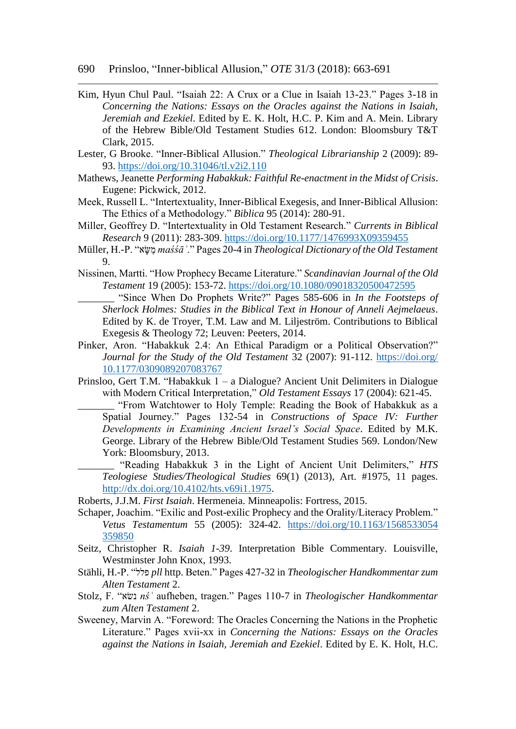- Kim, Hyun Chul Paul. "Isaiah 22: A Crux or a Clue in Isaiah 13-23." Pages 3-18 in *Concerning the Nations: Essays on the Oracles against the Nations in Isaiah, Jeremiah and Ezekiel*. Edited by E. K. Holt, H.C. P. Kim and A. Mein. Library of the Hebrew Bible/Old Testament Studies 612. London: Bloomsbury T&T Clark, 2015.
- Lester, G Brooke. "Inner-Biblical Allusion." *Theological Librarianship* 2 (2009): 89- 93. <https://doi.org/10.31046/tl.v2i2.110>
- Mathews, Jeanette *Performing Habakkuk: Faithful Re-enactment in the Midst of Crisis*. Eugene: Pickwick, 2012.
- Meek, Russell L. "Intertextuality, Inner-Biblical Exegesis, and Inner-Biblical Allusion: The Ethics of a Methodology." *Biblica* 95 (2014): 280-91.
- Miller, Geoffrey D. "Intertextuality in Old Testament Research." *Currents in Biblical Research* 9 (2011): 283-309. <https://doi.org/10.1177/1476993X09359455>
- Müller, H.-P. "אָּׂשַמ *maśśāʾ*." Pages 20-4 in *Theological Dictionary of the Old Testament* 9.
- Nissinen, Martti. "How Prophecy Became Literature." *Scandinavian Journal of the Old Testament* 19 (2005): 153-72. <https://doi.org/10.1080/09018320500472595>
	- \_\_\_\_\_\_\_ "Since When Do Prophets Write?" Pages 585-606 in *In the Footsteps of Sherlock Holmes: Studies in the Biblical Text in Honour of Anneli Aejmelaeus*. Edited by K. de Troyer, T.M. Law and M. Liljeström. Contributions to Biblical Exegesis & Theology 72; Leuven: Peeters, 2014.
- Pinker, Aron. "Habakkuk 2.4: An Ethical Paradigm or a Political Observation?" *Journal for the Study of the Old Testament* 32 (2007): 91-112. [https://doi.org/](https://doi.org/%2010.1177/0309089207083767)  [10.1177/0309089207083767](https://doi.org/%2010.1177/0309089207083767)
- Prinsloo, Gert T.M. "Habakkuk 1 a Dialogue? Ancient Unit Delimiters in Dialogue with Modern Critical Interpretation," *Old Testament Essays* 17 (2004): 621-45.
	- \_\_\_\_\_\_\_ "From Watchtower to Holy Temple: Reading the Book of Habakkuk as a Spatial Journey." Pages 132-54 in *Constructions of Space IV: Further Developments in Examining Ancient Israel's Social Space*. Edited by M.K. George. Library of the Hebrew Bible/Old Testament Studies 569. London/New York: Bloomsbury, 2013.
	- \_\_\_\_\_\_\_ "Reading Habakkuk 3 in the Light of Ancient Unit Delimiters," *HTS Teologiese Studies/Theological Studies* 69(1) (2013), Art. #1975, 11 pages. [http://dx.doi.org/10.4102/hts.v69i1.1975.](http://dx.doi.org/10.4102/hts.v69i1.1975)
- Roberts, J.J.M. *First Isaiah*. Hermeneia. Minneapolis: Fortress, 2015.
- Schaper, Joachim. "Exilic and Post-exilic Prophecy and the Orality/Literacy Problem." *Vetus Testamentum* 55 (2005): 324-42. [https://doi.org/10.1163/1568533054](https://doi.org/10.1163/1568533054%20359850)  [359850](https://doi.org/10.1163/1568533054%20359850)
- Seitz, Christopher R. *Isaiah 1-39*. Interpretation Bible Commentary. Louisville, Westminster John Knox, 1993.
- Stähli, H.-P. "פלל *pll* http. Beten." Pages 427-32 in *Theologischer Handkommentar zum Alten Testament* 2.
- Stolz, F. "שאׂנ *nśʾ* aufheben, tragen." Pages 110-7 in *Theologischer Handkommentar zum Alten Testament* 2.
- Sweeney, Marvin A. "Foreword: The Oracles Concerning the Nations in the Prophetic Literature." Pages xvii-xx in *Concerning the Nations: Essays on the Oracles against the Nations in Isaiah, Jeremiah and Ezekiel*. Edited by E. K. Holt, H.C.